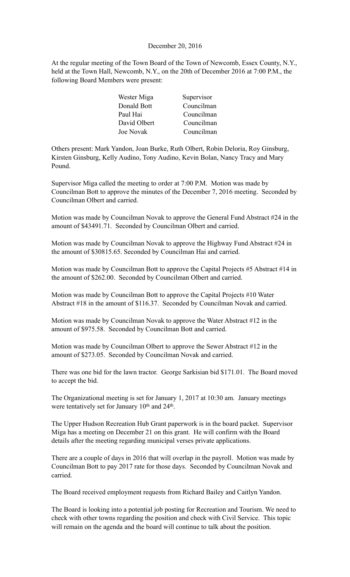#### December 20, 2016

At the regular meeting of the Town Board of the Town of Newcomb, Essex County, N.Y., held at the Town Hall, Newcomb, N.Y., on the 20th of December 2016 at 7:00 P.M., the following Board Members were present:

| Wester Miga  | Supervisor |
|--------------|------------|
| Donald Bott  | Councilman |
| Paul Hai     | Councilman |
| David Olbert | Councilman |
| Joe Novak    | Councilman |

Others present: Mark Yandon, Joan Burke, Ruth Olbert, Robin Deloria, Roy Ginsburg, Kirsten Ginsburg, Kelly Audino, Tony Audino, Kevin Bolan, Nancy Tracy and Mary Pound.

Supervisor Miga called the meeting to order at 7:00 P.M. Motion was made by Councilman Bott to approve the minutes of the December 7, 2016 meeting. Seconded by Councilman Olbert and carried.

Motion was made by Councilman Novak to approve the General Fund Abstract #24 in the amount of \$43491.71. Seconded by Councilman Olbert and carried.

Motion was made by Councilman Novak to approve the Highway Fund Abstract #24 in the amount of \$30815.65. Seconded by Councilman Hai and carried.

Motion was made by Councilman Bott to approve the Capital Projects #5 Abstract #14 in the amount of \$262.00. Seconded by Councilman Olbert and carried.

Motion was made by Councilman Bott to approve the Capital Projects #10 Water Abstract #18 in the amount of \$116.37. Seconded by Councilman Novak and carried.

Motion was made by Councilman Novak to approve the Water Abstract #12 in the amount of \$975.58. Seconded by Councilman Bott and carried.

Motion was made by Councilman Olbert to approve the Sewer Abstract #12 in the amount of \$273.05. Seconded by Councilman Novak and carried.

There was one bid for the lawn tractor. George Sarkisian bid \$171.01. The Board moved to accept the bid.

The Organizational meeting is set for January 1, 2017 at 10:30 am. January meetings were tentatively set for January 10<sup>th</sup> and 24<sup>th</sup>.

The Upper Hudson Recreation Hub Grant paperwork is in the board packet. Supervisor Miga has a meeting on December 21 on this grant. He will confirm with the Board details after the meeting regarding municipal verses private applications.

There are a couple of days in 2016 that will overlap in the payroll. Motion was made by Councilman Bott to pay 2017 rate for those days. Seconded by Councilman Novak and carried.

The Board received employment requests from Richard Bailey and Caitlyn Yandon.

The Board is looking into a potential job posting for Recreation and Tourism. We need to check with other towns regarding the position and check with Civil Service. This topic will remain on the agenda and the board will continue to talk about the position.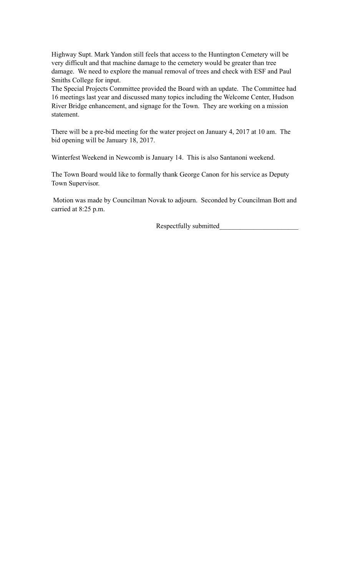Highway Supt. Mark Yandon still feels that access to the Huntington Cemetery will be very difficult and that machine damage to the cemetery would be greater than tree damage. We need to explore the manual removal of trees and check with ESF and Paul Smiths College for input.

The Special Projects Committee provided the Board with an update. The Committee had 16 meetings last year and discussed many topics including the Welcome Center, Hudson River Bridge enhancement, and signage for the Town. They are working on a mission statement.

There will be a pre-bid meeting for the water project on January 4, 2017 at 10 am. The bid opening will be January 18, 2017.

Winterfest Weekend in Newcomb is January 14. This is also Santanoni weekend.

The Town Board would like to formally thank George Canon for his service as Deputy Town Supervisor.

 Motion was made by Councilman Novak to adjourn. Seconded by Councilman Bott and carried at 8:25 p.m.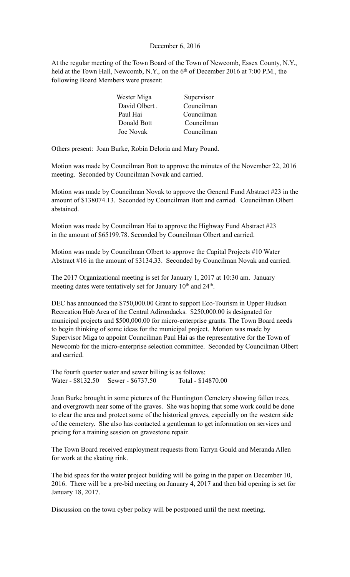### December 6, 2016

At the regular meeting of the Town Board of the Town of Newcomb, Essex County, N.Y., held at the Town Hall, Newcomb, N.Y., on the 6<sup>th</sup> of December 2016 at 7:00 P.M., the following Board Members were present:

| Wester Miga   | Supervisor |
|---------------|------------|
| David Olbert. | Councilman |
| Paul Hai      | Councilman |
| Donald Bott   | Councilman |
| Joe Novak     | Councilman |

Others present: Joan Burke, Robin Deloria and Mary Pound.

Motion was made by Councilman Bott to approve the minutes of the November 22, 2016 meeting. Seconded by Councilman Novak and carried.

Motion was made by Councilman Novak to approve the General Fund Abstract #23 in the amount of \$138074.13. Seconded by Councilman Bott and carried. Councilman Olbert abstained.

Motion was made by Councilman Hai to approve the Highway Fund Abstract #23 in the amount of \$65199.78. Seconded by Councilman Olbert and carried.

Motion was made by Councilman Olbert to approve the Capital Projects #10 Water Abstract #16 in the amount of \$3134.33. Seconded by Councilman Novak and carried.

The 2017 Organizational meeting is set for January 1, 2017 at 10:30 am. January meeting dates were tentatively set for January 10<sup>th</sup> and 24<sup>th</sup>.

DEC has announced the \$750,000.00 Grant to support Eco-Tourism in Upper Hudson Recreation Hub Area of the Central Adirondacks. \$250,000.00 is designated for municipal projects and \$500,000.00 for micro-enterprise grants. The Town Board needs to begin thinking of some ideas for the municipal project. Motion was made by Supervisor Miga to appoint Councilman Paul Hai as the representative for the Town of Newcomb for the micro-enterprise selection committee. Seconded by Councilman Olbert and carried.

The fourth quarter water and sewer billing is as follows: Water - \$8132.50 Sewer - \$6737.50 Total - \$14870.00

Joan Burke brought in some pictures of the Huntington Cemetery showing fallen trees, and overgrowth near some of the graves. She was hoping that some work could be done to clear the area and protect some of the historical graves, especially on the western side of the cemetery. She also has contacted a gentleman to get information on services and pricing for a training session on gravestone repair.

The Town Board received employment requests from Tarryn Gould and Meranda Allen for work at the skating rink.

The bid specs for the water project building will be going in the paper on December 10, 2016. There will be a pre-bid meeting on January 4, 2017 and then bid opening is set for January 18, 2017.

Discussion on the town cyber policy will be postponed until the next meeting.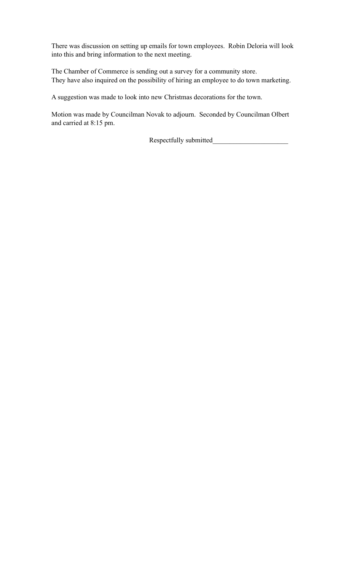There was discussion on setting up emails for town employees. Robin Deloria will look into this and bring information to the next meeting.

The Chamber of Commerce is sending out a survey for a community store. They have also inquired on the possibility of hiring an employee to do town marketing.

A suggestion was made to look into new Christmas decorations for the town.

Motion was made by Councilman Novak to adjourn. Seconded by Councilman Olbert and carried at 8:15 pm.

Respectfully submitted\_\_\_\_\_\_\_\_\_\_\_\_\_\_\_\_\_\_\_\_\_\_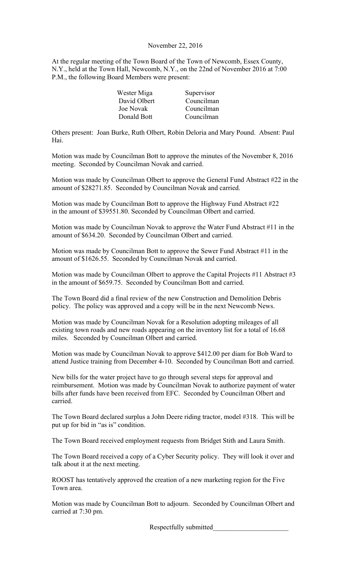### November 22, 2016

At the regular meeting of the Town Board of the Town of Newcomb, Essex County, N.Y., held at the Town Hall, Newcomb, N.Y., on the 22nd of November 2016 at 7:00 P.M., the following Board Members were present:

| Wester Miga  | Supervisor |
|--------------|------------|
| David Olbert | Councilman |
| Joe Novak    | Councilman |
| Donald Bott  | Councilman |

Others present: Joan Burke, Ruth Olbert, Robin Deloria and Mary Pound. Absent: Paul Hai.

Motion was made by Councilman Bott to approve the minutes of the November 8, 2016 meeting. Seconded by Councilman Novak and carried.

Motion was made by Councilman Olbert to approve the General Fund Abstract #22 in the amount of \$28271.85. Seconded by Councilman Novak and carried.

Motion was made by Councilman Bott to approve the Highway Fund Abstract #22 in the amount of \$39551.80. Seconded by Councilman Olbert and carried.

Motion was made by Councilman Novak to approve the Water Fund Abstract #11 in the amount of \$634.20. Seconded by Councilman Olbert and carried.

Motion was made by Councilman Bott to approve the Sewer Fund Abstract #11 in the amount of \$1626.55. Seconded by Councilman Novak and carried.

Motion was made by Councilman Olbert to approve the Capital Projects #11 Abstract #3 in the amount of \$659.75. Seconded by Councilman Bott and carried.

The Town Board did a final review of the new Construction and Demolition Debris policy. The policy was approved and a copy will be in the next Newcomb News.

Motion was made by Councilman Novak for a Resolution adopting mileages of all existing town roads and new roads appearing on the inventory list for a total of 16.68 miles. Seconded by Councilman Olbert and carried.

Motion was made by Councilman Novak to approve \$412.00 per diam for Bob Ward to attend Justice training from December 4-10. Seconded by Councilman Bott and carried.

New bills for the water project have to go through several steps for approval and reimbursement. Motion was made by Councilman Novak to authorize payment of water bills after funds have been received from EFC. Seconded by Councilman Olbert and carried.

The Town Board declared surplus a John Deere riding tractor, model #318. This will be put up for bid in "as is" condition.

The Town Board received employment requests from Bridget Stith and Laura Smith.

The Town Board received a copy of a Cyber Security policy. They will look it over and talk about it at the next meeting.

ROOST has tentatively approved the creation of a new marketing region for the Five Town area.

Motion was made by Councilman Bott to adjourn. Seconded by Councilman Olbert and carried at 7:30 pm.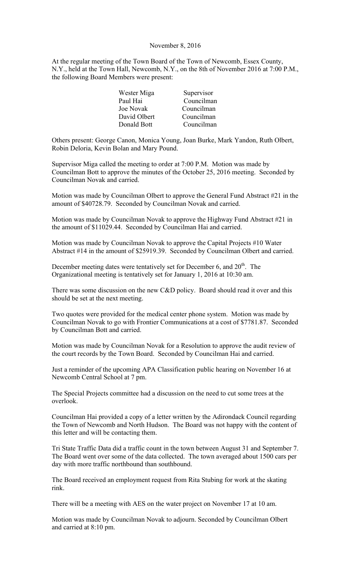#### November 8, 2016

At the regular meeting of the Town Board of the Town of Newcomb, Essex County, N.Y., held at the Town Hall, Newcomb, N.Y., on the 8th of November 2016 at 7:00 P.M., the following Board Members were present:

| Wester Miga  | Supervisor |
|--------------|------------|
| Paul Hai     | Councilman |
| Joe Novak    | Councilman |
| David Olbert | Councilman |
| Donald Bott  | Councilman |

Others present: George Canon, Monica Young, Joan Burke, Mark Yandon, Ruth Olbert, Robin Deloria, Kevin Bolan and Mary Pound.

Supervisor Miga called the meeting to order at 7:00 P.M. Motion was made by Councilman Bott to approve the minutes of the October 25, 2016 meeting. Seconded by Councilman Novak and carried.

Motion was made by Councilman Olbert to approve the General Fund Abstract #21 in the amount of \$40728.79. Seconded by Councilman Novak and carried.

Motion was made by Councilman Novak to approve the Highway Fund Abstract #21 in the amount of \$11029.44. Seconded by Councilman Hai and carried.

Motion was made by Councilman Novak to approve the Capital Projects #10 Water Abstract #14 in the amount of \$25919.39. Seconded by Councilman Olbert and carried.

December meeting dates were tentatively set for December 6, and 20<sup>th</sup>. The Organizational meeting is tentatively set for January 1, 2016 at 10:30 am.

There was some discussion on the new C&D policy. Board should read it over and this should be set at the next meeting.

Two quotes were provided for the medical center phone system. Motion was made by Councilman Novak to go with Frontier Communications at a cost of \$7781.87. Seconded by Councilman Bott and carried.

Motion was made by Councilman Novak for a Resolution to approve the audit review of the court records by the Town Board. Seconded by Councilman Hai and carried.

Just a reminder of the upcoming APA Classification public hearing on November 16 at Newcomb Central School at 7 pm.

The Special Projects committee had a discussion on the need to cut some trees at the overlook.

Councilman Hai provided a copy of a letter written by the Adirondack Council regarding the Town of Newcomb and North Hudson. The Board was not happy with the content of this letter and will be contacting them.

Tri State Traffic Data did a traffic count in the town between August 31 and September 7. The Board went over some of the data collected. The town averaged about 1500 cars per day with more traffic northbound than southbound.

The Board received an employment request from Rita Stubing for work at the skating rink.

There will be a meeting with AES on the water project on November 17 at 10 am.

Motion was made by Councilman Novak to adjourn. Seconded by Councilman Olbert and carried at 8:10 pm.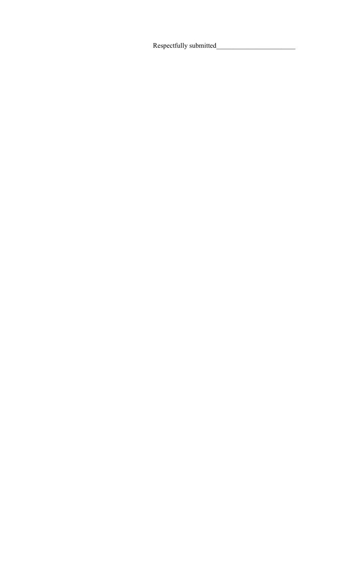Respectfully submitted\_\_\_\_\_\_\_\_\_\_\_\_\_\_\_\_\_\_\_\_\_\_\_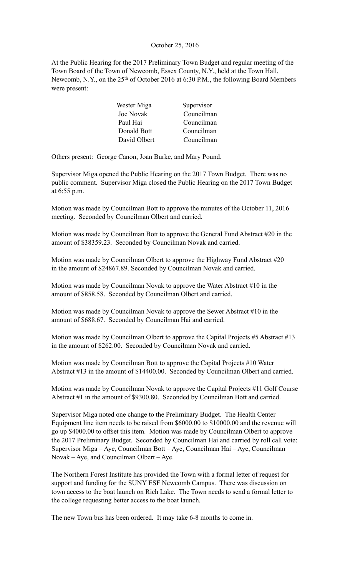# October 25, 2016

At the Public Hearing for the 2017 Preliminary Town Budget and regular meeting of the Town Board of the Town of Newcomb, Essex County, N.Y., held at the Town Hall, Newcomb, N.Y., on the 25<sup>th</sup> of October 2016 at 6:30 P.M., the following Board Members were present:

| Wester Miga  | Supervisor |
|--------------|------------|
| Joe Novak    | Councilman |
| Paul Hai     | Councilman |
| Donald Bott  | Councilman |
| David Olbert | Councilman |

Others present: George Canon, Joan Burke, and Mary Pound.

Supervisor Miga opened the Public Hearing on the 2017 Town Budget. There was no public comment. Supervisor Miga closed the Public Hearing on the 2017 Town Budget at 6:55 p.m.

Motion was made by Councilman Bott to approve the minutes of the October 11, 2016 meeting. Seconded by Councilman Olbert and carried.

Motion was made by Councilman Bott to approve the General Fund Abstract #20 in the amount of \$38359.23. Seconded by Councilman Novak and carried.

Motion was made by Councilman Olbert to approve the Highway Fund Abstract #20 in the amount of \$24867.89. Seconded by Councilman Novak and carried.

Motion was made by Councilman Novak to approve the Water Abstract #10 in the amount of \$858.58. Seconded by Councilman Olbert and carried.

Motion was made by Councilman Novak to approve the Sewer Abstract #10 in the amount of \$688.67. Seconded by Councilman Hai and carried.

Motion was made by Councilman Olbert to approve the Capital Projects #5 Abstract #13 in the amount of \$262.00. Seconded by Councilman Novak and carried.

Motion was made by Councilman Bott to approve the Capital Projects #10 Water Abstract #13 in the amount of \$14400.00. Seconded by Councilman Olbert and carried.

Motion was made by Councilman Novak to approve the Capital Projects #11 Golf Course Abstract #1 in the amount of \$9300.80. Seconded by Councilman Bott and carried.

Supervisor Miga noted one change to the Preliminary Budget. The Health Center Equipment line item needs to be raised from \$6000.00 to \$10000.00 and the revenue will go up \$4000.00 to offset this item. Motion was made by Councilman Olbert to approve the 2017 Preliminary Budget. Seconded by Councilman Hai and carried by roll call vote: Supervisor Miga – Aye, Councilman Bott – Aye, Councilman Hai – Aye, Councilman Novak – Aye, and Councilman Olbert – Aye.

The Northern Forest Institute has provided the Town with a formal letter of request for support and funding for the SUNY ESF Newcomb Campus. There was discussion on town access to the boat launch on Rich Lake. The Town needs to send a formal letter to the college requesting better access to the boat launch.

The new Town bus has been ordered. It may take 6-8 months to come in.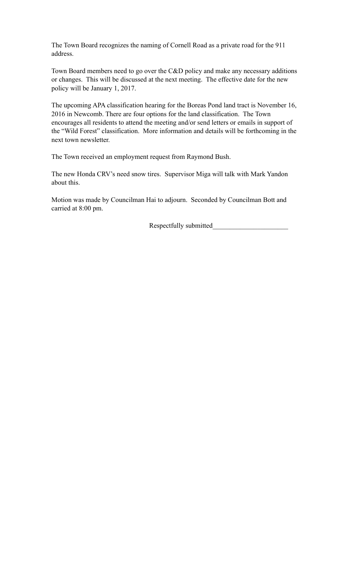The Town Board recognizes the naming of Cornell Road as a private road for the 911 address.

Town Board members need to go over the C&D policy and make any necessary additions or changes. This will be discussed at the next meeting. The effective date for the new policy will be January 1, 2017.

The upcoming APA classification hearing for the Boreas Pond land tract is November 16, 2016 in Newcomb. There are four options for the land classification. The Town encourages all residents to attend the meeting and/or send letters or emails in support of the "Wild Forest" classification. More information and details will be forthcoming in the next town newsletter.

The Town received an employment request from Raymond Bush.

The new Honda CRV's need snow tires. Supervisor Miga will talk with Mark Yandon about this.

Motion was made by Councilman Hai to adjourn. Seconded by Councilman Bott and carried at 8:00 pm.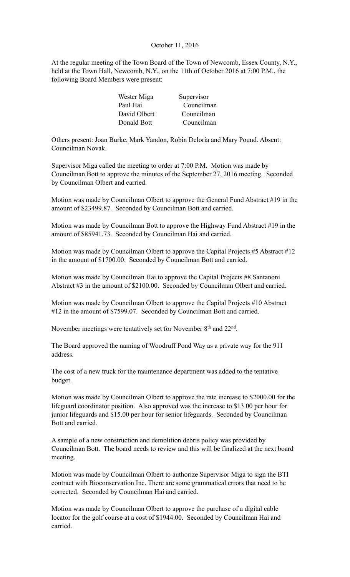# October 11, 2016

At the regular meeting of the Town Board of the Town of Newcomb, Essex County, N.Y., held at the Town Hall, Newcomb, N.Y., on the 11th of October 2016 at 7:00 P.M., the following Board Members were present:

| Wester Miga  | Supervisor |
|--------------|------------|
| Paul Hai     | Councilman |
| David Olbert | Councilman |
| Donald Bott  | Councilman |

Others present: Joan Burke, Mark Yandon, Robin Deloria and Mary Pound. Absent: Councilman Novak.

Supervisor Miga called the meeting to order at 7:00 P.M. Motion was made by Councilman Bott to approve the minutes of the September 27, 2016 meeting. Seconded by Councilman Olbert and carried.

Motion was made by Councilman Olbert to approve the General Fund Abstract #19 in the amount of \$23499.87. Seconded by Councilman Bott and carried.

Motion was made by Councilman Bott to approve the Highway Fund Abstract #19 in the amount of \$85941.73. Seconded by Councilman Hai and carried.

Motion was made by Councilman Olbert to approve the Capital Projects #5 Abstract #12 in the amount of \$1700.00. Seconded by Councilman Bott and carried.

Motion was made by Councilman Hai to approve the Capital Projects #8 Santanoni Abstract #3 in the amount of \$2100.00. Seconded by Councilman Olbert and carried.

Motion was made by Councilman Olbert to approve the Capital Projects #10 Abstract #12 in the amount of \$7599.07. Seconded by Councilman Bott and carried.

November meetings were tentatively set for November 8th and 22nd.

The Board approved the naming of Woodruff Pond Way as a private way for the 911 address.

The cost of a new truck for the maintenance department was added to the tentative budget.

Motion was made by Councilman Olbert to approve the rate increase to \$2000.00 for the lifeguard coordinator position. Also approved was the increase to \$13.00 per hour for junior lifeguards and \$15.00 per hour for senior lifeguards. Seconded by Councilman Bott and carried.

A sample of a new construction and demolition debris policy was provided by Councilman Bott. The board needs to review and this will be finalized at the next board meeting.

Motion was made by Councilman Olbert to authorize Supervisor Miga to sign the BTI contract with Bioconservation Inc. There are some grammatical errors that need to be corrected. Seconded by Councilman Hai and carried.

Motion was made by Councilman Olbert to approve the purchase of a digital cable locator for the golf course at a cost of \$1944.00. Seconded by Councilman Hai and carried.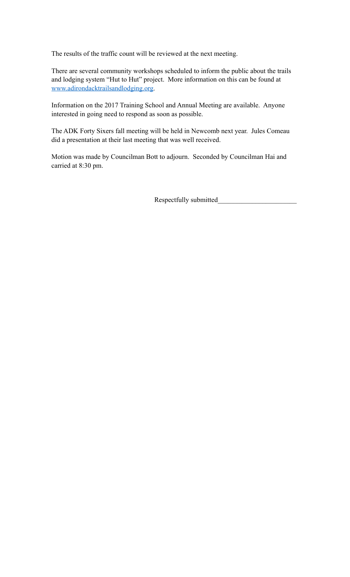The results of the traffic count will be reviewed at the next meeting.

There are several community workshops scheduled to inform the public about the trails and lodging system "Hut to Hut" project. More information on this can be found at [www.adirondacktrailsandlodging.org](http://www.adirondacktrailsandlodging.org).

Information on the 2017 Training School and Annual Meeting are available. Anyone interested in going need to respond as soon as possible.

The ADK Forty Sixers fall meeting will be held in Newcomb next year. Jules Comeau did a presentation at their last meeting that was well received.

Motion was made by Councilman Bott to adjourn. Seconded by Councilman Hai and carried at 8:30 pm.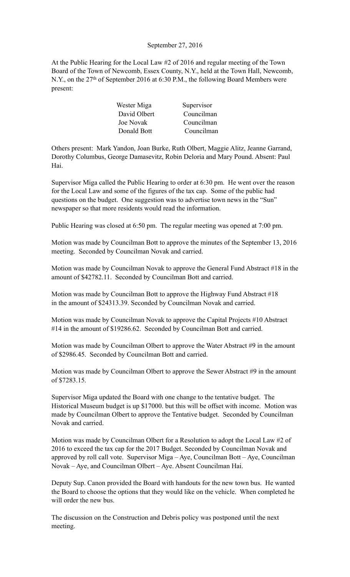# September 27, 2016

At the Public Hearing for the Local Law #2 of 2016 and regular meeting of the Town Board of the Town of Newcomb, Essex County, N.Y., held at the Town Hall, Newcomb, N.Y., on the 27<sup>th</sup> of September 2016 at 6:30 P.M., the following Board Members were present:

| Wester Miga  | Supervisor |
|--------------|------------|
| David Olbert | Councilman |
| Joe Novak    | Councilman |
| Donald Bott  | Councilman |

Others present: Mark Yandon, Joan Burke, Ruth Olbert, Maggie Alitz, Jeanne Garrand, Dorothy Columbus, George Damasevitz, Robin Deloria and Mary Pound. Absent: Paul Hai.

Supervisor Miga called the Public Hearing to order at 6:30 pm. He went over the reason for the Local Law and some of the figures of the tax cap. Some of the public had questions on the budget. One suggestion was to advertise town news in the "Sun" newspaper so that more residents would read the information.

Public Hearing was closed at 6:50 pm. The regular meeting was opened at 7:00 pm.

Motion was made by Councilman Bott to approve the minutes of the September 13, 2016 meeting. Seconded by Councilman Novak and carried.

Motion was made by Councilman Novak to approve the General Fund Abstract #18 in the amount of \$42782.11. Seconded by Councilman Bott and carried.

Motion was made by Councilman Bott to approve the Highway Fund Abstract #18 in the amount of \$24313.39. Seconded by Councilman Novak and carried.

Motion was made by Councilman Novak to approve the Capital Projects #10 Abstract #14 in the amount of \$19286.62. Seconded by Councilman Bott and carried.

Motion was made by Councilman Olbert to approve the Water Abstract #9 in the amount of \$2986.45. Seconded by Councilman Bott and carried.

Motion was made by Councilman Olbert to approve the Sewer Abstract #9 in the amount of \$7283.15.

Supervisor Miga updated the Board with one change to the tentative budget. The Historical Museum budget is up \$17000. but this will be offset with income. Motion was made by Councilman Olbert to approve the Tentative budget. Seconded by Councilman Novak and carried.

Motion was made by Councilman Olbert for a Resolution to adopt the Local Law #2 of 2016 to exceed the tax cap for the 2017 Budget. Seconded by Councilman Novak and approved by roll call vote. Supervisor Miga – Aye, Councilman Bott – Aye, Councilman Novak – Aye, and Councilman Olbert – Aye. Absent Councilman Hai.

Deputy Sup. Canon provided the Board with handouts for the new town bus. He wanted the Board to choose the options that they would like on the vehicle. When completed he will order the new bus.

The discussion on the Construction and Debris policy was postponed until the next meeting.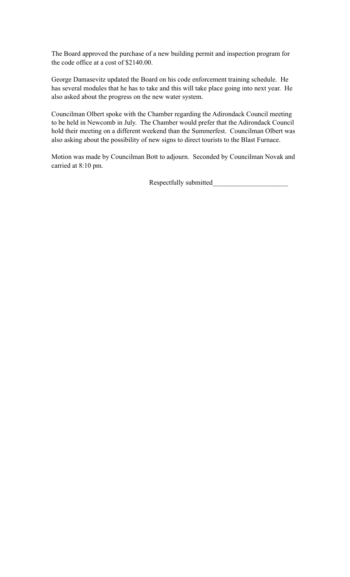The Board approved the purchase of a new building permit and inspection program for the code office at a cost of \$2140.00.

George Damasevitz updated the Board on his code enforcement training schedule. He has several modules that he has to take and this will take place going into next year. He also asked about the progress on the new water system.

Councilman Olbert spoke with the Chamber regarding the Adirondack Council meeting to be held in Newcomb in July. The Chamber would prefer that the Adirondack Council hold their meeting on a different weekend than the Summerfest. Councilman Olbert was also asking about the possibility of new signs to direct tourists to the Blast Furnace.

Motion was made by Councilman Bott to adjourn. Seconded by Councilman Novak and carried at 8:10 pm.

Respectfully submitted\_\_\_\_\_\_\_\_\_\_\_\_\_\_\_\_\_\_\_\_\_\_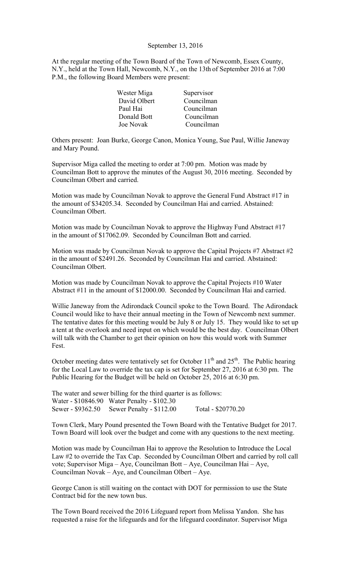#### September 13, 2016

At the regular meeting of the Town Board of the Town of Newcomb, Essex County, N.Y., held at the Town Hall, Newcomb, N.Y., on the 13th of September 2016 at 7:00 P.M., the following Board Members were present:

| Wester Miga  | Supervisor |
|--------------|------------|
| David Olbert | Councilman |
| Paul Hai     | Councilman |
| Donald Bott  | Councilman |
| Joe Novak    | Councilman |

Others present: Joan Burke, George Canon, Monica Young, Sue Paul, Willie Janeway and Mary Pound.

Supervisor Miga called the meeting to order at 7:00 pm. Motion was made by Councilman Bott to approve the minutes of the August 30, 2016 meeting. Seconded by Councilman Olbert and carried.

Motion was made by Councilman Novak to approve the General Fund Abstract #17 in the amount of \$34205.34. Seconded by Councilman Hai and carried. Abstained: Councilman Olbert.

Motion was made by Councilman Novak to approve the Highway Fund Abstract #17 in the amount of \$17062.09. Seconded by Councilman Bott and carried.

Motion was made by Councilman Novak to approve the Capital Projects #7 Abstract #2 in the amount of \$2491.26. Seconded by Councilman Hai and carried. Abstained: Councilman Olbert.

Motion was made by Councilman Novak to approve the Capital Projects #10 Water Abstract #11 in the amount of \$12000.00. Seconded by Councilman Hai and carried.

Willie Janeway from the Adirondack Council spoke to the Town Board. The Adirondack Council would like to have their annual meeting in the Town of Newcomb next summer. The tentative dates for this meeting would be July 8 or July 15. They would like to set up a tent at the overlook and need input on which would be the best day. Councilman Olbert will talk with the Chamber to get their opinion on how this would work with Summer Fest.

October meeting dates were tentatively set for October  $11<sup>th</sup>$  and  $25<sup>th</sup>$ . The Public hearing for the Local Law to override the tax cap is set for September 27, 2016 at 6:30 pm. The Public Hearing for the Budget will be held on October 25, 2016 at 6:30 pm.

The water and sewer billing for the third quarter is as follows: Water - \$10846.90 Water Penalty - \$102.30 Sewer - \$9362.50 Sewer Penalty - \$112.00 Total - \$20770.20

Town Clerk, Mary Pound presented the Town Board with the Tentative Budget for 2017. Town Board will look over the budget and come with any questions to the next meeting.

Motion was made by Councilman Hai to approve the Resolution to Introduce the Local Law #2 to override the Tax Cap. Seconded by Councilman Olbert and carried by roll call vote; Supervisor Miga – Aye, Councilman Bott – Aye, Councilman Hai – Aye, Councilman Novak – Aye, and Councilman Olbert – Aye.

George Canon is still waiting on the contact with DOT for permission to use the State Contract bid for the new town bus.

The Town Board received the 2016 Lifeguard report from Melissa Yandon. She has requested a raise for the lifeguards and for the lifeguard coordinator. Supervisor Miga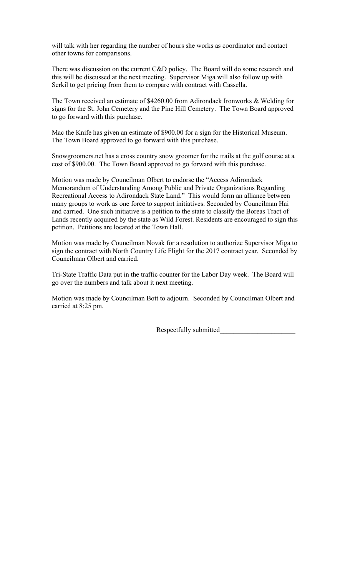will talk with her regarding the number of hours she works as coordinator and contact other towns for comparisons.

There was discussion on the current C&D policy. The Board will do some research and this will be discussed at the next meeting. Supervisor Miga will also follow up with Serkil to get pricing from them to compare with contract with Cassella.

The Town received an estimate of \$4260.00 from Adirondack Ironworks & Welding for signs for the St. John Cemetery and the Pine Hill Cemetery. The Town Board approved to go forward with this purchase.

Mac the Knife has given an estimate of \$900.00 for a sign for the Historical Museum. The Town Board approved to go forward with this purchase.

Snowgroomers.net has a cross country snow groomer for the trails at the golf course at a cost of \$900.00. The Town Board approved to go forward with this purchase.

Motion was made by Councilman Olbert to endorse the "Access Adirondack Memorandum of Understanding Among Public and Private Organizations Regarding Recreational Access to Adirondack State Land." This would form an alliance between many groups to work as one force to support initiatives. Seconded by Councilman Hai and carried. One such initiative is a petition to the state to classify the Boreas Tract of Lands recently acquired by the state as Wild Forest. Residents are encouraged to sign this petition. Petitions are located at the Town Hall.

Motion was made by Councilman Novak for a resolution to authorize Supervisor Miga to sign the contract with North Country Life Flight for the 2017 contract year. Seconded by Councilman Olbert and carried.

Tri-State Traffic Data put in the traffic counter for the Labor Day week. The Board will go over the numbers and talk about it next meeting.

Motion was made by Councilman Bott to adjourn. Seconded by Councilman Olbert and carried at 8:25 pm.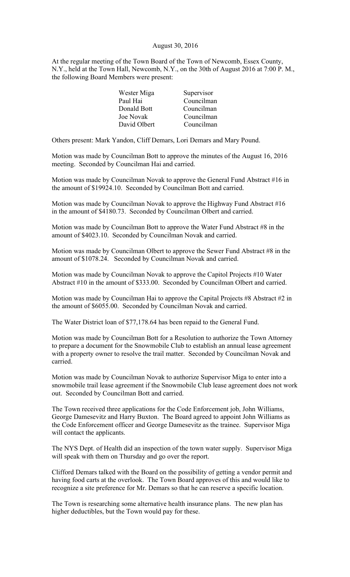### August 30, 2016

At the regular meeting of the Town Board of the Town of Newcomb, Essex County, N.Y., held at the Town Hall, Newcomb, N.Y., on the 30th of August 2016 at 7:00 P. M., the following Board Members were present:

| Wester Miga  | Supervisor |
|--------------|------------|
| Paul Hai     | Councilman |
| Donald Bott  | Councilman |
| Joe Novak    | Councilman |
| David Olbert | Councilman |

Others present: Mark Yandon, Cliff Demars, Lori Demars and Mary Pound.

Motion was made by Councilman Bott to approve the minutes of the August 16, 2016 meeting. Seconded by Councilman Hai and carried.

Motion was made by Councilman Novak to approve the General Fund Abstract #16 in the amount of \$19924.10. Seconded by Councilman Bott and carried.

Motion was made by Councilman Novak to approve the Highway Fund Abstract #16 in the amount of \$4180.73. Seconded by Councilman Olbert and carried.

Motion was made by Councilman Bott to approve the Water Fund Abstract #8 in the amount of \$4023.10. Seconded by Councilman Novak and carried.

Motion was made by Councilman Olbert to approve the Sewer Fund Abstract #8 in the amount of \$1078.24. Seconded by Councilman Novak and carried.

Motion was made by Councilman Novak to approve the Capitol Projects #10 Water Abstract #10 in the amount of \$333.00. Seconded by Councilman Olbert and carried.

Motion was made by Councilman Hai to approve the Capital Projects #8 Abstract #2 in the amount of \$6055.00. Seconded by Councilman Novak and carried.

The Water District loan of \$77,178.64 has been repaid to the General Fund.

Motion was made by Councilman Bott for a Resolution to authorize the Town Attorney to prepare a document for the Snowmobile Club to establish an annual lease agreement with a property owner to resolve the trail matter. Seconded by Councilman Novak and carried.

Motion was made by Councilman Novak to authorize Supervisor Miga to enter into a snowmobile trail lease agreement if the Snowmobile Club lease agreement does not work out. Seconded by Councilman Bott and carried.

The Town received three applications for the Code Enforcement job, John Williams, George Damesevitz and Harry Buxton. The Board agreed to appoint John Williams as the Code Enforcement officer and George Damesevitz as the trainee. Supervisor Miga will contact the applicants.

The NYS Dept. of Health did an inspection of the town water supply. Supervisor Miga will speak with them on Thursday and go over the report.

Clifford Demars talked with the Board on the possibility of getting a vendor permit and having food carts at the overlook. The Town Board approves of this and would like to recognize a site preference for Mr. Demars so that he can reserve a specific location.

The Town is researching some alternative health insurance plans. The new plan has higher deductibles, but the Town would pay for these.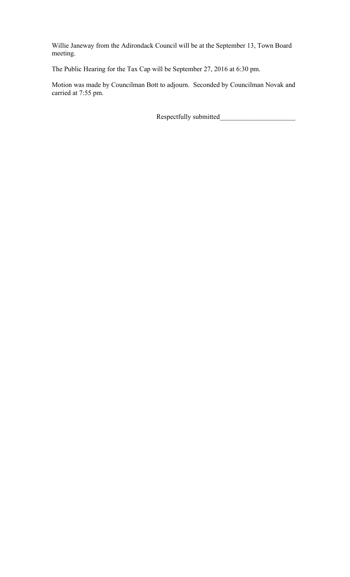Willie Janeway from the Adirondack Council will be at the September 13, Town Board meeting.

The Public Hearing for the Tax Cap will be September 27, 2016 at 6:30 pm.

Motion was made by Councilman Bott to adjourn. Seconded by Councilman Novak and carried at 7:55 pm.

Respectfully submitted\_\_\_\_\_\_\_\_\_\_\_\_\_\_\_\_\_\_\_\_\_\_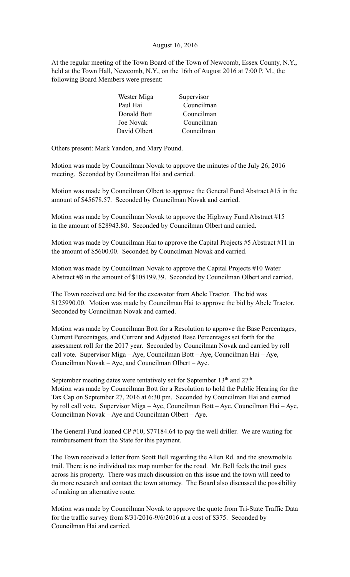# August 16, 2016

At the regular meeting of the Town Board of the Town of Newcomb, Essex County, N.Y., held at the Town Hall, Newcomb, N.Y., on the 16th of August 2016 at 7:00 P. M., the following Board Members were present:

| Wester Miga  | Supervisor |
|--------------|------------|
| Paul Hai     | Councilman |
| Donald Bott  | Councilman |
| Joe Novak    | Councilman |
| David Olbert | Councilman |

Others present: Mark Yandon, and Mary Pound.

Motion was made by Councilman Novak to approve the minutes of the July 26, 2016 meeting. Seconded by Councilman Hai and carried.

Motion was made by Councilman Olbert to approve the General Fund Abstract #15 in the amount of \$45678.57. Seconded by Councilman Novak and carried.

Motion was made by Councilman Novak to approve the Highway Fund Abstract #15 in the amount of \$28943.80. Seconded by Councilman Olbert and carried.

Motion was made by Councilman Hai to approve the Capital Projects #5 Abstract #11 in the amount of \$5600.00. Seconded by Councilman Novak and carried.

Motion was made by Councilman Novak to approve the Capital Projects #10 Water Abstract #8 in the amount of \$105199.39. Seconded by Councilman Olbert and carried.

The Town received one bid for the excavator from Abele Tractor. The bid was \$125990.00. Motion was made by Councilman Hai to approve the bid by Abele Tractor. Seconded by Councilman Novak and carried.

Motion was made by Councilman Bott for a Resolution to approve the Base Percentages, Current Percentages, and Current and Adjusted Base Percentages set forth for the assessment roll for the 2017 year. Seconded by Councilman Novak and carried by roll call vote. Supervisor Miga – Aye, Councilman Bott – Aye, Councilman Hai – Aye, Councilman Novak – Aye, and Councilman Olbert – Aye.

September meeting dates were tentatively set for September 13<sup>th</sup> and 27<sup>th</sup>. Motion was made by Councilman Bott for a Resolution to hold the Public Hearing for the Tax Cap on September 27, 2016 at 6:30 pm. Seconded by Councilman Hai and carried by roll call vote. Supervisor Miga – Aye, Councilman Bott – Aye, Councilman Hai – Aye, Councilman Novak – Aye and Councilman Olbert – Aye.

The General Fund loaned CP #10, \$77184.64 to pay the well driller. We are waiting for reimbursement from the State for this payment.

The Town received a letter from Scott Bell regarding the Allen Rd. and the snowmobile trail. There is no individual tax map number for the road. Mr. Bell feels the trail goes across his property. There was much discussion on this issue and the town will need to do more research and contact the town attorney. The Board also discussed the possibility of making an alternative route.

Motion was made by Councilman Novak to approve the quote from Tri-State Traffic Data for the traffic survey from 8/31/2016-9/6/2016 at a cost of \$375. Seconded by Councilman Hai and carried.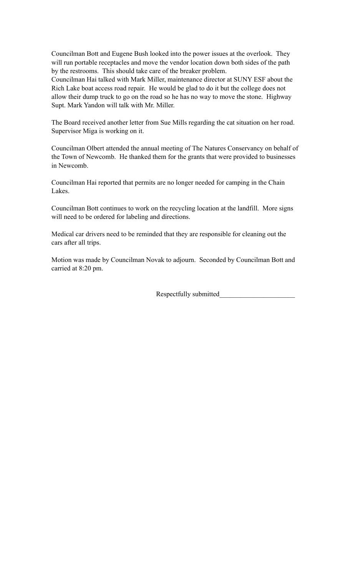Councilman Bott and Eugene Bush looked into the power issues at the overlook. They will run portable receptacles and move the vendor location down both sides of the path by the restrooms. This should take care of the breaker problem.

Councilman Hai talked with Mark Miller, maintenance director at SUNY ESF about the Rich Lake boat access road repair. He would be glad to do it but the college does not allow their dump truck to go on the road so he has no way to move the stone. Highway Supt. Mark Yandon will talk with Mr. Miller.

The Board received another letter from Sue Mills regarding the cat situation on her road. Supervisor Miga is working on it.

Councilman Olbert attended the annual meeting of The Natures Conservancy on behalf of the Town of Newcomb. He thanked them for the grants that were provided to businesses in Newcomb.

Councilman Hai reported that permits are no longer needed for camping in the Chain Lakes.

Councilman Bott continues to work on the recycling location at the landfill. More signs will need to be ordered for labeling and directions.

Medical car drivers need to be reminded that they are responsible for cleaning out the cars after all trips.

Motion was made by Councilman Novak to adjourn. Seconded by Councilman Bott and carried at 8:20 pm.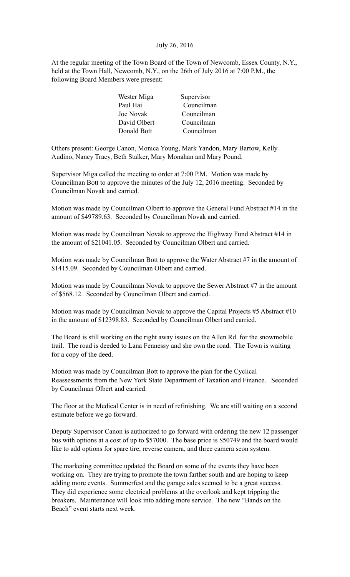# July 26, 2016

At the regular meeting of the Town Board of the Town of Newcomb, Essex County, N.Y., held at the Town Hall, Newcomb, N.Y., on the 26th of July 2016 at 7:00 P.M., the following Board Members were present:

| Wester Miga  | Supervisor |
|--------------|------------|
| Paul Hai     | Councilman |
| Joe Novak    | Councilman |
| David Olbert | Councilman |
| Donald Bott  | Councilman |

Others present: George Canon, Monica Young, Mark Yandon, Mary Bartow, Kelly Audino, Nancy Tracy, Beth Stalker, Mary Monahan and Mary Pound.

Supervisor Miga called the meeting to order at 7:00 P.M. Motion was made by Councilman Bott to approve the minutes of the July 12, 2016 meeting. Seconded by Councilman Novak and carried.

Motion was made by Councilman Olbert to approve the General Fund Abstract #14 in the amount of \$49789.63. Seconded by Councilman Novak and carried.

Motion was made by Councilman Novak to approve the Highway Fund Abstract #14 in the amount of \$21041.05. Seconded by Councilman Olbert and carried.

Motion was made by Councilman Bott to approve the Water Abstract #7 in the amount of \$1415.09. Seconded by Councilman Olbert and carried.

Motion was made by Councilman Novak to approve the Sewer Abstract #7 in the amount of \$568.12. Seconded by Councilman Olbert and carried.

Motion was made by Councilman Novak to approve the Capital Projects #5 Abstract #10 in the amount of \$12398.83. Seconded by Councilman Olbert and carried.

The Board is still working on the right away issues on the Allen Rd. for the snowmobile trail. The road is deeded to Lana Fennessy and she own the road. The Town is waiting for a copy of the deed.

Motion was made by Councilman Bott to approve the plan for the Cyclical Reassessments from the New York State Department of Taxation and Finance. Seconded by Councilman Olbert and carried.

The floor at the Medical Center is in need of refinishing. We are still waiting on a second estimate before we go forward.

Deputy Supervisor Canon is authorized to go forward with ordering the new 12 passenger bus with options at a cost of up to \$57000. The base price is \$50749 and the board would like to add options for spare tire, reverse camera, and three camera seon system.

The marketing committee updated the Board on some of the events they have been working on. They are trying to promote the town farther south and are hoping to keep adding more events. Summerfest and the garage sales seemed to be a great success. They did experience some electrical problems at the overlook and kept tripping the breakers. Maintenance will look into adding more service. The new "Bands on the Beach" event starts next week.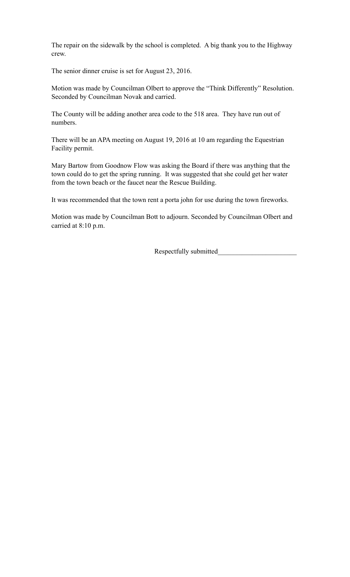The repair on the sidewalk by the school is completed. A big thank you to the Highway crew.

The senior dinner cruise is set for August 23, 2016.

Motion was made by Councilman Olbert to approve the "Think Differently" Resolution. Seconded by Councilman Novak and carried.

The County will be adding another area code to the 518 area. They have run out of numbers.

There will be an APA meeting on August 19, 2016 at 10 am regarding the Equestrian Facility permit.

Mary Bartow from Goodnow Flow was asking the Board if there was anything that the town could do to get the spring running. It was suggested that she could get her water from the town beach or the faucet near the Rescue Building.

It was recommended that the town rent a porta john for use during the town fireworks.

Motion was made by Councilman Bott to adjourn. Seconded by Councilman Olbert and carried at 8:10 p.m.

Respectfully submitted\_\_\_\_\_\_\_\_\_\_\_\_\_\_\_\_\_\_\_\_\_\_\_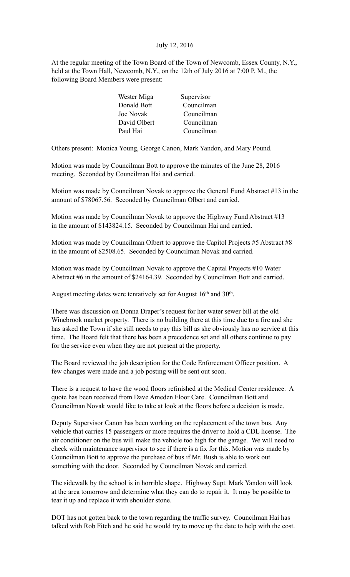# July 12, 2016

At the regular meeting of the Town Board of the Town of Newcomb, Essex County, N.Y., held at the Town Hall, Newcomb, N.Y., on the 12th of July 2016 at 7:00 P. M., the following Board Members were present:

| Wester Miga  | Supervisor |
|--------------|------------|
| Donald Bott  | Councilman |
| Joe Novak    | Councilman |
| David Olbert | Councilman |
| Paul Hai     | Councilman |

Others present: Monica Young, George Canon, Mark Yandon, and Mary Pound.

Motion was made by Councilman Bott to approve the minutes of the June 28, 2016 meeting. Seconded by Councilman Hai and carried.

Motion was made by Councilman Novak to approve the General Fund Abstract #13 in the amount of \$78067.56. Seconded by Councilman Olbert and carried.

Motion was made by Councilman Novak to approve the Highway Fund Abstract #13 in the amount of \$143824.15. Seconded by Councilman Hai and carried.

Motion was made by Councilman Olbert to approve the Capitol Projects #5 Abstract #8 in the amount of \$2508.65. Seconded by Councilman Novak and carried.

Motion was made by Councilman Novak to approve the Capital Projects #10 Water Abstract #6 in the amount of \$24164.39. Seconded by Councilman Bott and carried.

August meeting dates were tentatively set for August 16<sup>th</sup> and 30<sup>th</sup>.

There was discussion on Donna Draper's request for her water sewer bill at the old Winebrook market property. There is no building there at this time due to a fire and she has asked the Town if she still needs to pay this bill as she obviously has no service at this time. The Board felt that there has been a precedence set and all others continue to pay for the service even when they are not present at the property.

The Board reviewed the job description for the Code Enforcement Officer position. A few changes were made and a job posting will be sent out soon.

There is a request to have the wood floors refinished at the Medical Center residence. A quote has been received from Dave Ameden Floor Care. Councilman Bott and Councilman Novak would like to take at look at the floors before a decision is made.

Deputy Supervisor Canon has been working on the replacement of the town bus. Any vehicle that carries 15 passengers or more requires the driver to hold a CDL license. The air conditioner on the bus will make the vehicle too high for the garage. We will need to check with maintenance supervisor to see if there is a fix for this. Motion was made by Councilman Bott to approve the purchase of bus if Mr. Bush is able to work out something with the door. Seconded by Councilman Novak and carried.

The sidewalk by the school is in horrible shape. Highway Supt. Mark Yandon will look at the area tomorrow and determine what they can do to repair it. It may be possible to tear it up and replace it with shoulder stone.

DOT has not gotten back to the town regarding the traffic survey. Councilman Hai has talked with Rob Fitch and he said he would try to move up the date to help with the cost.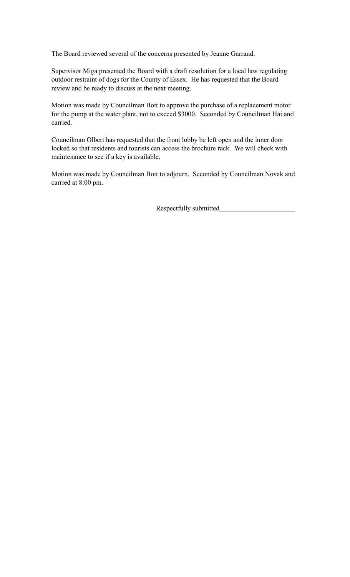The Board reviewed several of the concerns presented by Jeanne Garrand.

Supervisor Miga presented the Board with a draft resolution for a local law regulating outdoor restraint of dogs for the County of Essex. He has requested that the Board review and be ready to discuss at the next meeting.

Motion was made by Councilman Bott to approve the purchase of a replacement motor for the pump at the water plant, not to exceed \$3000. Seconded by Councilman Hai and carried.

Councilman Olbert has requested that the front lobby be left open and the inner door locked so that residents and tourists can access the brochure rack. We will check with maintenance to see if a key is available.

Motion was made by Councilman Bott to adjourn. Seconded by Councilman Novak and carried at 8:00 pm.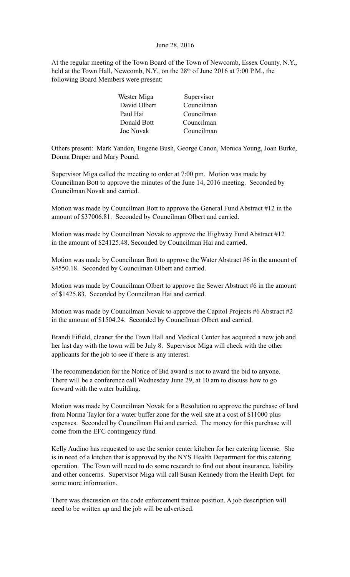# June 28, 2016

At the regular meeting of the Town Board of the Town of Newcomb, Essex County, N.Y., held at the Town Hall, Newcomb, N.Y., on the 28<sup>th</sup> of June 2016 at 7:00 P.M., the following Board Members were present:

| Supervisor |
|------------|
| Councilman |
| Councilman |
| Councilman |
| Councilman |
|            |

Others present: Mark Yandon, Eugene Bush, George Canon, Monica Young, Joan Burke, Donna Draper and Mary Pound.

Supervisor Miga called the meeting to order at 7:00 pm. Motion was made by Councilman Bott to approve the minutes of the June 14, 2016 meeting. Seconded by Councilman Novak and carried.

Motion was made by Councilman Bott to approve the General Fund Abstract #12 in the amount of \$37006.81. Seconded by Councilman Olbert and carried.

Motion was made by Councilman Novak to approve the Highway Fund Abstract #12 in the amount of \$24125.48. Seconded by Councilman Hai and carried.

Motion was made by Councilman Bott to approve the Water Abstract #6 in the amount of \$4550.18. Seconded by Councilman Olbert and carried.

Motion was made by Councilman Olbert to approve the Sewer Abstract #6 in the amount of \$1425.83. Seconded by Councilman Hai and carried.

Motion was made by Councilman Novak to approve the Capitol Projects #6 Abstract #2 in the amount of \$1504.24. Seconded by Councilman Olbert and carried.

Brandi Fifield, cleaner for the Town Hall and Medical Center has acquired a new job and her last day with the town will be July 8. Supervisor Miga will check with the other applicants for the job to see if there is any interest.

The recommendation for the Notice of Bid award is not to award the bid to anyone. There will be a conference call Wednesday June 29, at 10 am to discuss how to go forward with the water building.

Motion was made by Councilman Novak for a Resolution to approve the purchase of land from Norma Taylor for a water buffer zone for the well site at a cost of \$11000 plus expenses. Seconded by Councilman Hai and carried. The money for this purchase will come from the EFC contingency fund.

Kelly Audino has requested to use the senior center kitchen for her catering license. She is in need of a kitchen that is approved by the NYS Health Department for this catering operation. The Town will need to do some research to find out about insurance, liability and other concerns. Supervisor Miga will call Susan Kennedy from the Health Dept. for some more information.

There was discussion on the code enforcement trainee position. A job description will need to be written up and the job will be advertised.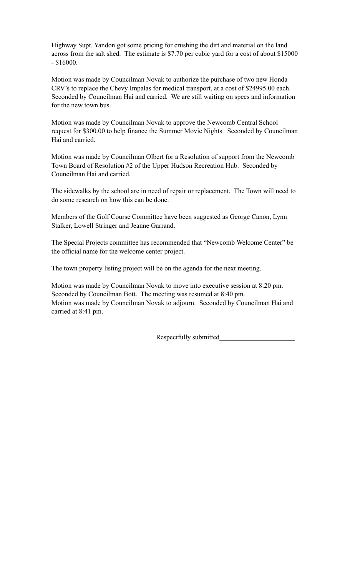Highway Supt. Yandon got some pricing for crushing the dirt and material on the land across from the salt shed. The estimate is \$7.70 per cubic yard for a cost of about \$15000 - \$16000.

Motion was made by Councilman Novak to authorize the purchase of two new Honda CRV's to replace the Chevy Impalas for medical transport, at a cost of \$24995.00 each. Seconded by Councilman Hai and carried. We are still waiting on specs and information for the new town bus.

Motion was made by Councilman Novak to approve the Newcomb Central School request for \$300.00 to help finance the Summer Movie Nights. Seconded by Councilman Hai and carried.

Motion was made by Councilman Olbert for a Resolution of support from the Newcomb Town Board of Resolution #2 of the Upper Hudson Recreation Hub. Seconded by Councilman Hai and carried.

The sidewalks by the school are in need of repair or replacement. The Town will need to do some research on how this can be done.

Members of the Golf Course Committee have been suggested as George Canon, Lynn Stalker, Lowell Stringer and Jeanne Garrand.

The Special Projects committee has recommended that "Newcomb Welcome Center" be the official name for the welcome center project.

The town property listing project will be on the agenda for the next meeting.

Motion was made by Councilman Novak to move into executive session at 8:20 pm. Seconded by Councilman Bott. The meeting was resumed at 8:40 pm. Motion was made by Councilman Novak to adjourn. Seconded by Councilman Hai and carried at 8:41 pm.

Respectfully submitted\_\_\_\_\_\_\_\_\_\_\_\_\_\_\_\_\_\_\_\_\_\_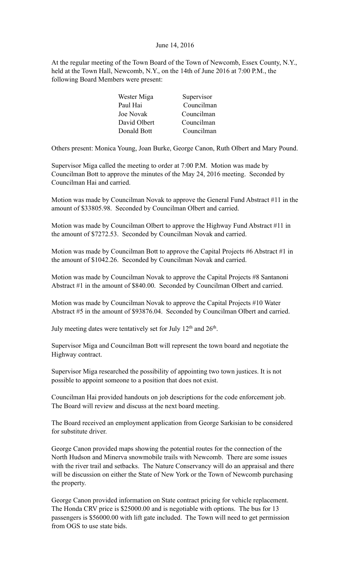### June 14, 2016

At the regular meeting of the Town Board of the Town of Newcomb, Essex County, N.Y., held at the Town Hall, Newcomb, N.Y., on the 14th of June 2016 at 7:00 P.M., the following Board Members were present:

| Wester Miga  | Supervisor |
|--------------|------------|
| Paul Hai     | Councilman |
| Joe Novak    | Councilman |
| David Olbert | Councilman |
| Donald Bott  | Councilman |

Others present: Monica Young, Joan Burke, George Canon, Ruth Olbert and Mary Pound.

Supervisor Miga called the meeting to order at 7:00 P.M. Motion was made by Councilman Bott to approve the minutes of the May 24, 2016 meeting. Seconded by Councilman Hai and carried.

Motion was made by Councilman Novak to approve the General Fund Abstract #11 in the amount of \$33805.98. Seconded by Councilman Olbert and carried.

Motion was made by Councilman Olbert to approve the Highway Fund Abstract #11 in the amount of \$7272.53. Seconded by Councilman Novak and carried.

Motion was made by Councilman Bott to approve the Capital Projects #6 Abstract #1 in the amount of \$1042.26. Seconded by Councilman Novak and carried.

Motion was made by Councilman Novak to approve the Capital Projects #8 Santanoni Abstract #1 in the amount of \$840.00. Seconded by Councilman Olbert and carried.

Motion was made by Councilman Novak to approve the Capital Projects #10 Water Abstract #5 in the amount of \$93876.04. Seconded by Councilman Olbert and carried.

July meeting dates were tentatively set for July 12<sup>th</sup> and 26<sup>th</sup>.

Supervisor Miga and Councilman Bott will represent the town board and negotiate the Highway contract.

Supervisor Miga researched the possibility of appointing two town justices. It is not possible to appoint someone to a position that does not exist.

Councilman Hai provided handouts on job descriptions for the code enforcement job. The Board will review and discuss at the next board meeting.

The Board received an employment application from George Sarkisian to be considered for substitute driver.

George Canon provided maps showing the potential routes for the connection of the North Hudson and Minerva snowmobile trails with Newcomb. There are some issues with the river trail and setbacks. The Nature Conservancy will do an appraisal and there will be discussion on either the State of New York or the Town of Newcomb purchasing the property.

George Canon provided information on State contract pricing for vehicle replacement. The Honda CRV price is \$25000.00 and is negotiable with options. The bus for 13 passengers is \$56000.00 with lift gate included. The Town will need to get permission from OGS to use state bids.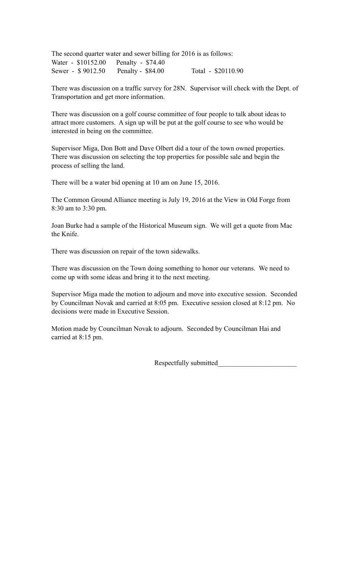The second quarter water and sewer billing for 2016 is as follows: Water - \$10152.00 Penalty - \$74.40 Sewer - \$9012.50 Penalty - \$84.00 Total - \$20110.90

There was discussion on a traffic survey for 28N. Supervisor will check with the Dept. of Transportation and get more information.

There was discussion on a golf course committee of four people to talk about ideas to attract more customers. A sign up will be put at the golf course to see who would be interested in being on the committee.

Supervisor Miga, Don Bott and Dave Olbert did a tour of the town owned properties. There was discussion on selecting the top properties for possible sale and begin the process of selling the land.

There will be a water bid opening at 10 am on June 15, 2016.

The Common Ground Alliance meeting is July 19, 2016 at the View in Old Forge from 8:30 am to 3:30 pm.

Joan Burke had a sample of the Historical Museum sign. We will get a quote from Mac the Knife.

There was discussion on repair of the town sidewalks.

There was discussion on the Town doing something to honor our veterans. We need to come up with some ideas and bring it to the next meeting.

Supervisor Miga made the motion to adjourn and move into executive session. Seconded by Councilman Novak and carried at 8:05 pm. Executive session closed at 8:12 pm. No decisions were made in Executive Session.

Motion made by Councilman Novak to adjourn. Seconded by Councilman Hai and carried at 8:15 pm.

Respectfully submitted\_\_\_\_\_\_\_\_\_\_\_\_\_\_\_\_\_\_\_\_\_\_\_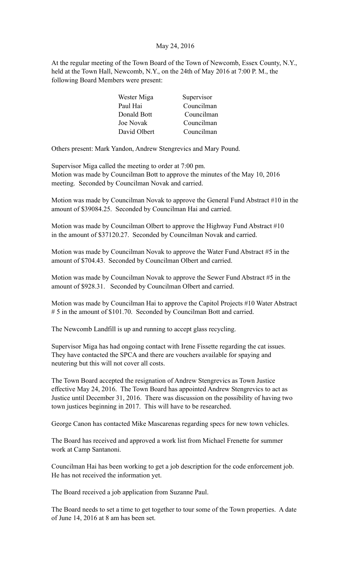# May 24, 2016

At the regular meeting of the Town Board of the Town of Newcomb, Essex County, N.Y., held at the Town Hall, Newcomb, N.Y., on the 24th of May 2016 at 7:00 P. M., the following Board Members were present:

| Wester Miga  | Supervisor |
|--------------|------------|
| Paul Hai     | Councilman |
| Donald Bott  | Councilman |
| Joe Novak    | Councilman |
| David Olbert | Councilman |

Others present: Mark Yandon, Andrew Stengrevics and Mary Pound.

Supervisor Miga called the meeting to order at 7:00 pm. Motion was made by Councilman Bott to approve the minutes of the May 10, 2016 meeting. Seconded by Councilman Novak and carried.

Motion was made by Councilman Novak to approve the General Fund Abstract #10 in the amount of \$39084.25. Seconded by Councilman Hai and carried.

Motion was made by Councilman Olbert to approve the Highway Fund Abstract #10 in the amount of \$37120.27. Seconded by Councilman Novak and carried.

Motion was made by Councilman Novak to approve the Water Fund Abstract #5 in the amount of \$704.43. Seconded by Councilman Olbert and carried.

Motion was made by Councilman Novak to approve the Sewer Fund Abstract #5 in the amount of \$928.31. Seconded by Councilman Olbert and carried.

Motion was made by Councilman Hai to approve the Capitol Projects #10 Water Abstract # 5 in the amount of \$101.70. Seconded by Councilman Bott and carried.

The Newcomb Landfill is up and running to accept glass recycling.

Supervisor Miga has had ongoing contact with Irene Fissette regarding the cat issues. They have contacted the SPCA and there are vouchers available for spaying and neutering but this will not cover all costs.

The Town Board accepted the resignation of Andrew Stengrevics as Town Justice effective May 24, 2016. The Town Board has appointed Andrew Stengrevics to act as Justice until December 31, 2016. There was discussion on the possibility of having two town justices beginning in 2017. This will have to be researched.

George Canon has contacted Mike Mascarenas regarding specs for new town vehicles.

The Board has received and approved a work list from Michael Frenette for summer work at Camp Santanoni.

Councilman Hai has been working to get a job description for the code enforcement job. He has not received the information yet.

The Board received a job application from Suzanne Paul.

The Board needs to set a time to get together to tour some of the Town properties. A date of June 14, 2016 at 8 am has been set.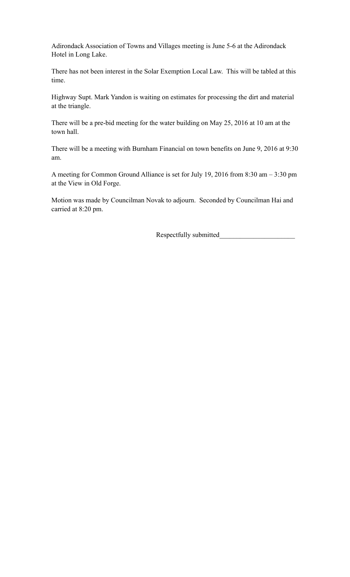Adirondack Association of Towns and Villages meeting is June 5-6 at the Adirondack Hotel in Long Lake.

There has not been interest in the Solar Exemption Local Law. This will be tabled at this time.

Highway Supt. Mark Yandon is waiting on estimates for processing the dirt and material at the triangle.

There will be a pre-bid meeting for the water building on May 25, 2016 at 10 am at the town hall.

There will be a meeting with Burnham Financial on town benefits on June 9, 2016 at 9:30 am.

A meeting for Common Ground Alliance is set for July 19, 2016 from 8:30 am – 3:30 pm at the View in Old Forge.

Motion was made by Councilman Novak to adjourn. Seconded by Councilman Hai and carried at 8:20 pm.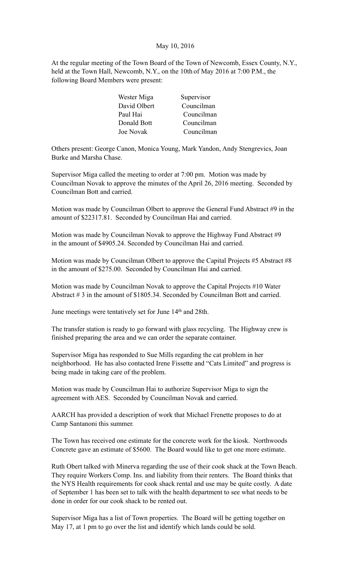### May 10, 2016

At the regular meeting of the Town Board of the Town of Newcomb, Essex County, N.Y., held at the Town Hall, Newcomb, N.Y., on the 10th of May 2016 at 7:00 P.M., the following Board Members were present:

| Wester Miga  | Supervisor |
|--------------|------------|
| David Olbert | Councilman |
| Paul Hai     | Councilman |
| Donald Bott  | Councilman |
| Joe Novak    | Councilman |

Others present: George Canon, Monica Young, Mark Yandon, Andy Stengrevics, Joan Burke and Marsha Chase.

Supervisor Miga called the meeting to order at 7:00 pm. Motion was made by Councilman Novak to approve the minutes of the April 26, 2016 meeting. Seconded by Councilman Bott and carried.

Motion was made by Councilman Olbert to approve the General Fund Abstract #9 in the amount of \$22317.81. Seconded by Councilman Hai and carried.

Motion was made by Councilman Novak to approve the Highway Fund Abstract #9 in the amount of \$4905.24. Seconded by Councilman Hai and carried.

Motion was made by Councilman Olbert to approve the Capital Projects #5 Abstract #8 in the amount of \$275.00. Seconded by Councilman Hai and carried.

Motion was made by Councilman Novak to approve the Capital Projects #10 Water Abstract # 3 in the amount of \$1805.34. Seconded by Councilman Bott and carried.

June meetings were tentatively set for June 14<sup>th</sup> and 28th.

The transfer station is ready to go forward with glass recycling. The Highway crew is finished preparing the area and we can order the separate container.

Supervisor Miga has responded to Sue Mills regarding the cat problem in her neighborhood. He has also contacted Irene Fissette and "Cats Limited" and progress is being made in taking care of the problem.

Motion was made by Councilman Hai to authorize Supervisor Miga to sign the agreement with AES. Seconded by Councilman Novak and carried.

AARCH has provided a description of work that Michael Frenette proposes to do at Camp Santanoni this summer.

The Town has received one estimate for the concrete work for the kiosk. Northwoods Concrete gave an estimate of \$5600. The Board would like to get one more estimate.

Ruth Obert talked with Minerva regarding the use of their cook shack at the Town Beach. They require Workers Comp. Ins. and liability from their renters. The Board thinks that the NYS Health requirements for cook shack rental and use may be quite costly. A date of September 1 has been set to talk with the health department to see what needs to be done in order for our cook shack to be rented out.

Supervisor Miga has a list of Town properties. The Board will be getting together on May 17, at 1 pm to go over the list and identify which lands could be sold.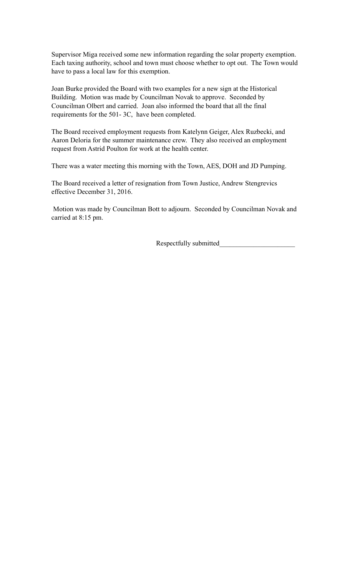Supervisor Miga received some new information regarding the solar property exemption. Each taxing authority, school and town must choose whether to opt out. The Town would have to pass a local law for this exemption.

Joan Burke provided the Board with two examples for a new sign at the Historical Building. Motion was made by Councilman Novak to approve. Seconded by Councilman Olbert and carried. Joan also informed the board that all the final requirements for the 501- 3C, have been completed.

The Board received employment requests from Katelynn Geiger, Alex Ruzbecki, and Aaron Deloria for the summer maintenance crew. They also received an employment request from Astrid Poulton for work at the health center.

There was a water meeting this morning with the Town, AES, DOH and JD Pumping.

The Board received a letter of resignation from Town Justice, Andrew Stengrevics effective December 31, 2016.

 Motion was made by Councilman Bott to adjourn. Seconded by Councilman Novak and carried at 8:15 pm.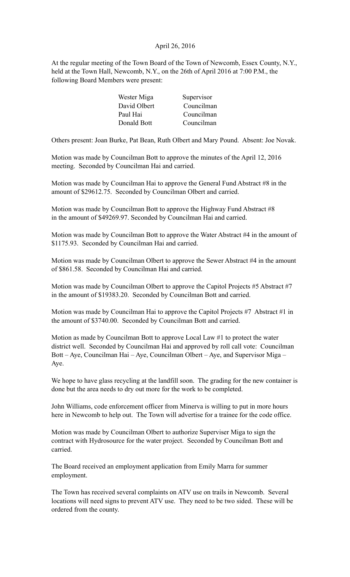# April 26, 2016

At the regular meeting of the Town Board of the Town of Newcomb, Essex County, N.Y., held at the Town Hall, Newcomb, N.Y., on the 26th of April 2016 at 7:00 P.M., the following Board Members were present:

| Wester Miga  | Supervisor |
|--------------|------------|
| David Olbert | Councilman |
| Paul Hai     | Councilman |
| Donald Bott  | Councilman |

Others present: Joan Burke, Pat Bean, Ruth Olbert and Mary Pound. Absent: Joe Novak.

Motion was made by Councilman Bott to approve the minutes of the April 12, 2016 meeting. Seconded by Councilman Hai and carried.

Motion was made by Councilman Hai to approve the General Fund Abstract #8 in the amount of \$29612.75. Seconded by Councilman Olbert and carried.

Motion was made by Councilman Bott to approve the Highway Fund Abstract #8 in the amount of \$49269.97. Seconded by Councilman Hai and carried.

Motion was made by Councilman Bott to approve the Water Abstract #4 in the amount of \$1175.93. Seconded by Councilman Hai and carried.

Motion was made by Councilman Olbert to approve the Sewer Abstract #4 in the amount of \$861.58. Seconded by Councilman Hai and carried.

Motion was made by Councilman Olbert to approve the Capitol Projects #5 Abstract #7 in the amount of \$19383.20. Seconded by Councilman Bott and carried.

Motion was made by Councilman Hai to approve the Capitol Projects #7 Abstract #1 in the amount of \$3740.00. Seconded by Councilman Bott and carried.

Motion as made by Councilman Bott to approve Local Law #1 to protect the water district well. Seconded by Councilman Hai and approved by roll call vote: Councilman Bott – Aye, Councilman Hai – Aye, Councilman Olbert – Aye, and Supervisor Miga – Aye.

We hope to have glass recycling at the landfill soon. The grading for the new container is done but the area needs to dry out more for the work to be completed.

John Williams, code enforcement officer from Minerva is willing to put in more hours here in Newcomb to help out. The Town will advertise for a trainee for the code office.

Motion was made by Councilman Olbert to authorize Superviser Miga to sign the contract with Hydrosource for the water project. Seconded by Councilman Bott and carried.

The Board received an employment application from Emily Marra for summer employment.

The Town has received several complaints on ATV use on trails in Newcomb. Several locations will need signs to prevent ATV use. They need to be two sided. These will be ordered from the county.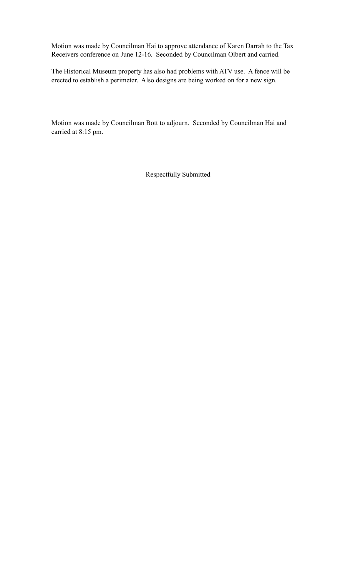Motion was made by Councilman Hai to approve attendance of Karen Darrah to the Tax Receivers conference on June 12-16. Seconded by Councilman Olbert and carried.

The Historical Museum property has also had problems with ATV use. A fence will be erected to establish a perimeter. Also designs are being worked on for a new sign.

Motion was made by Councilman Bott to adjourn. Seconded by Councilman Hai and carried at 8:15 pm.

Respectfully Submitted\_\_\_\_\_\_\_\_\_\_\_\_\_\_\_\_\_\_\_\_\_\_\_\_\_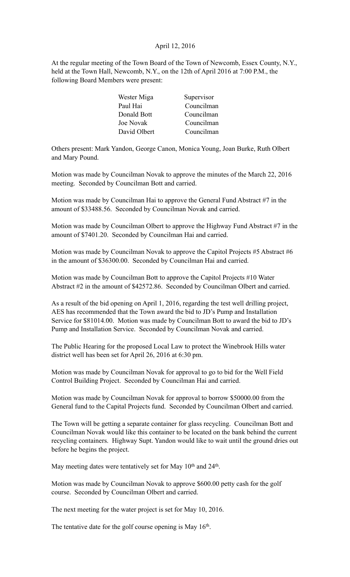# April 12, 2016

At the regular meeting of the Town Board of the Town of Newcomb, Essex County, N.Y., held at the Town Hall, Newcomb, N.Y., on the 12th of April 2016 at 7:00 P.M., the following Board Members were present:

| Wester Miga  | Supervisor |
|--------------|------------|
| Paul Hai     | Councilman |
| Donald Bott  | Councilman |
| Joe Novak    | Councilman |
| David Olbert | Councilman |

Others present: Mark Yandon, George Canon, Monica Young, Joan Burke, Ruth Olbert and Mary Pound.

Motion was made by Councilman Novak to approve the minutes of the March 22, 2016 meeting. Seconded by Councilman Bott and carried.

Motion was made by Councilman Hai to approve the General Fund Abstract #7 in the amount of \$33488.56. Seconded by Councilman Novak and carried.

Motion was made by Councilman Olbert to approve the Highway Fund Abstract #7 in the amount of \$7401.20. Seconded by Councilman Hai and carried.

Motion was made by Councilman Novak to approve the Capitol Projects #5 Abstract #6 in the amount of \$36300.00. Seconded by Councilman Hai and carried.

Motion was made by Councilman Bott to approve the Capitol Projects #10 Water Abstract #2 in the amount of \$42572.86. Seconded by Councilman Olbert and carried.

As a result of the bid opening on April 1, 2016, regarding the test well drilling project, AES has recommended that the Town award the bid to JD's Pump and Installation Service for \$81014.00. Motion was made by Councilman Bott to award the bid to JD's Pump and Installation Service. Seconded by Councilman Novak and carried.

The Public Hearing for the proposed Local Law to protect the Winebrook Hills water district well has been set for April 26, 2016 at 6:30 pm.

Motion was made by Councilman Novak for approval to go to bid for the Well Field Control Building Project. Seconded by Councilman Hai and carried.

Motion was made by Councilman Novak for approval to borrow \$50000.00 from the General fund to the Capital Projects fund. Seconded by Councilman Olbert and carried.

The Town will be getting a separate container for glass recycling. Councilman Bott and Councilman Novak would like this container to be located on the bank behind the current recycling containers. Highway Supt. Yandon would like to wait until the ground dries out before he begins the project.

May meeting dates were tentatively set for May 10<sup>th</sup> and 24<sup>th</sup>.

Motion was made by Councilman Novak to approve \$600.00 petty cash for the golf course. Seconded by Councilman Olbert and carried.

The next meeting for the water project is set for May 10, 2016.

The tentative date for the golf course opening is May  $16<sup>th</sup>$ .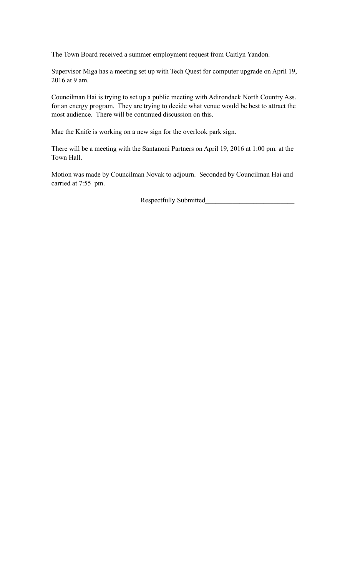The Town Board received a summer employment request from Caitlyn Yandon.

Supervisor Miga has a meeting set up with Tech Quest for computer upgrade on April 19, 2016 at 9 am.

Councilman Hai is trying to set up a public meeting with Adirondack North Country Ass. for an energy program. They are trying to decide what venue would be best to attract the most audience. There will be continued discussion on this.

Mac the Knife is working on a new sign for the overlook park sign.

There will be a meeting with the Santanoni Partners on April 19, 2016 at 1:00 pm. at the Town Hall.

Motion was made by Councilman Novak to adjourn. Seconded by Councilman Hai and carried at 7:55 pm.

Respectfully Submitted\_\_\_\_\_\_\_\_\_\_\_\_\_\_\_\_\_\_\_\_\_\_\_\_\_\_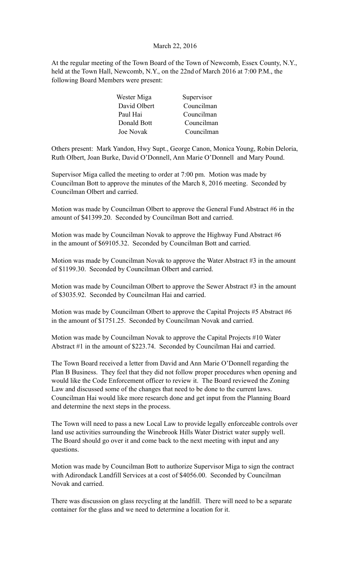### March 22, 2016

At the regular meeting of the Town Board of the Town of Newcomb, Essex County, N.Y., held at the Town Hall, Newcomb, N.Y., on the 22nd of March 2016 at 7:00 P.M., the following Board Members were present:

| Wester Miga  | Supervisor |
|--------------|------------|
| David Olbert | Councilman |
| Paul Hai     | Councilman |
| Donald Bott  | Councilman |
| Joe Novak    | Councilman |

Others present: Mark Yandon, Hwy Supt., George Canon, Monica Young, Robin Deloria, Ruth Olbert, Joan Burke, David O'Donnell, Ann Marie O'Donnell and Mary Pound.

Supervisor Miga called the meeting to order at 7:00 pm. Motion was made by Councilman Bott to approve the minutes of the March 8, 2016 meeting. Seconded by Councilman Olbert and carried.

Motion was made by Councilman Olbert to approve the General Fund Abstract #6 in the amount of \$41399.20. Seconded by Councilman Bott and carried.

Motion was made by Councilman Novak to approve the Highway Fund Abstract #6 in the amount of \$69105.32. Seconded by Councilman Bott and carried.

Motion was made by Councilman Novak to approve the Water Abstract #3 in the amount of \$1199.30. Seconded by Councilman Olbert and carried.

Motion was made by Councilman Olbert to approve the Sewer Abstract #3 in the amount of \$3035.92. Seconded by Councilman Hai and carried.

Motion was made by Councilman Olbert to approve the Capital Projects #5 Abstract #6 in the amount of \$1751.25. Seconded by Councilman Novak and carried.

Motion was made by Councilman Novak to approve the Capital Projects #10 Water Abstract #1 in the amount of \$223.74. Seconded by Councilman Hai and carried.

The Town Board received a letter from David and Ann Marie O'Donnell regarding the Plan B Business. They feel that they did not follow proper procedures when opening and would like the Code Enforcement officer to review it. The Board reviewed the Zoning Law and discussed some of the changes that need to be done to the current laws. Councilman Hai would like more research done and get input from the Planning Board and determine the next steps in the process.

The Town will need to pass a new Local Law to provide legally enforceable controls over land use activities surrounding the Winebrook Hills Water District water supply well. The Board should go over it and come back to the next meeting with input and any questions.

Motion was made by Councilman Bott to authorize Supervisor Miga to sign the contract with Adirondack Landfill Services at a cost of \$4056.00. Seconded by Councilman Novak and carried.

There was discussion on glass recycling at the landfill. There will need to be a separate container for the glass and we need to determine a location for it.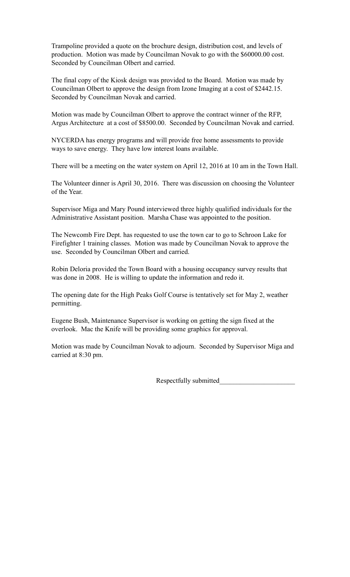Trampoline provided a quote on the brochure design, distribution cost, and levels of production. Motion was made by Councilman Novak to go with the \$60000.00 cost. Seconded by Councilman Olbert and carried.

The final copy of the Kiosk design was provided to the Board. Motion was made by Councilman Olbert to approve the design from Izone Imaging at a cost of \$2442.15. Seconded by Councilman Novak and carried.

Motion was made by Councilman Olbert to approve the contract winner of the RFP, Argus Architecture at a cost of \$8500.00. Seconded by Councilman Novak and carried.

NYCERDA has energy programs and will provide free home assessments to provide ways to save energy. They have low interest loans available.

There will be a meeting on the water system on April 12, 2016 at 10 am in the Town Hall.

The Volunteer dinner is April 30, 2016. There was discussion on choosing the Volunteer of the Year.

Supervisor Miga and Mary Pound interviewed three highly qualified individuals for the Administrative Assistant position. Marsha Chase was appointed to the position.

The Newcomb Fire Dept. has requested to use the town car to go to Schroon Lake for Firefighter 1 training classes. Motion was made by Councilman Novak to approve the use. Seconded by Councilman Olbert and carried.

Robin Deloria provided the Town Board with a housing occupancy survey results that was done in 2008. He is willing to update the information and redo it.

The opening date for the High Peaks Golf Course is tentatively set for May 2, weather permitting.

Eugene Bush, Maintenance Supervisor is working on getting the sign fixed at the overlook. Mac the Knife will be providing some graphics for approval.

Motion was made by Councilman Novak to adjourn. Seconded by Supervisor Miga and carried at 8:30 pm.

Respectfully submitted\_\_\_\_\_\_\_\_\_\_\_\_\_\_\_\_\_\_\_\_\_\_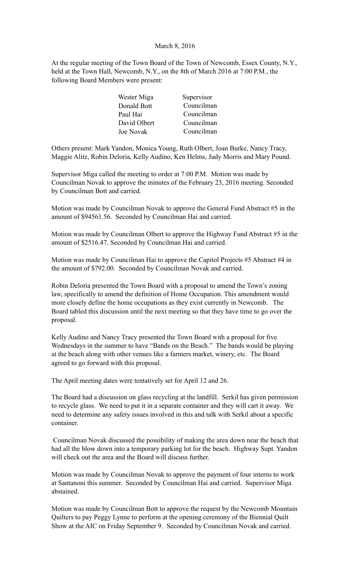### March 8, 2016

At the regular meeting of the Town Board of the Town of Newcomb, Essex County, N.Y., held at the Town Hall, Newcomb, N.Y., on the 8th of March 2016 at 7:00 P.M., the following Board Members were present:

| Wester Miga      | Supervisor |
|------------------|------------|
| Donald Bott      | Councilman |
| Paul Hai         | Councilman |
| David Olbert     | Councilman |
| <b>Joe Novak</b> | Councilman |

Others present: Mark Yandon, Monica Young, Ruth Olbert, Joan Burke, Nancy Tracy, Maggie Alitz, Robin Deloria, Kelly Audino, Ken Helms, Judy Morris and Mary Pound.

Supervisor Miga called the meeting to order at 7:00 P.M. Motion was made by Councilman Novak to approve the minutes of the February 23, 2016 meeting. Seconded by Councilman Bott and carried.

Motion was made by Councilman Novak to approve the General Fund Abstract #5 in the amount of \$94561.56. Seconded by Councilman Hai and carried.

Motion was made by Councilman Olbert to approve the Highway Fund Abstract #5 in the amount of \$2516.47. Seconded by Councilman Hai and carried.

Motion was made by Councilman Hai to approve the Capitol Projects #5 Abstract #4 in the amount of \$792.00. Seconded by Councilman Novak and carried.

Robin Deloria presented the Town Board with a proposal to amend the Town's zoning law, specifically to amend the definition of Home Occupation. This amendment would more closely define the home occupations as they exist currently in Newcomb. The Board tabled this discussion until the next meeting so that they have time to go over the proposal.

Kelly Audino and Nancy Tracy presented the Town Board with a proposal for five Wednesdays in the summer to have "Bands on the Beach." The bands would be playing at the beach along with other venues like a farmers market, winery, etc. The Board agreed to go forward with this proposal.

The April meeting dates were tentatively set for April 12 and 26.

The Board had a discussion on glass recycling at the landfill. Serkil has given permission to recycle glass. We need to put it in a separate container and they will cart it away. We need to determine any safety issues involved in this and talk with Serkil about a specific container.

 Councilman Novak discussed the possibility of making the area down near the beach that had all the blow down into a temporary parking lot for the beach. Highway Supt. Yandon will check out the area and the Board will discuss further.

Motion was made by Councilman Novak to approve the payment of four interns to work at Santanoni this summer. Seconded by Councilman Hai and carried. Supervisor Miga abstained.

Motion was made by Councilman Bott to approve the request by the Newcomb Mountain Quilters to pay Peggy Lynne to perform at the opening ceremony of the Biennial Quilt Show at the AIC on Friday September 9. Seconded by Councilman Novak and carried.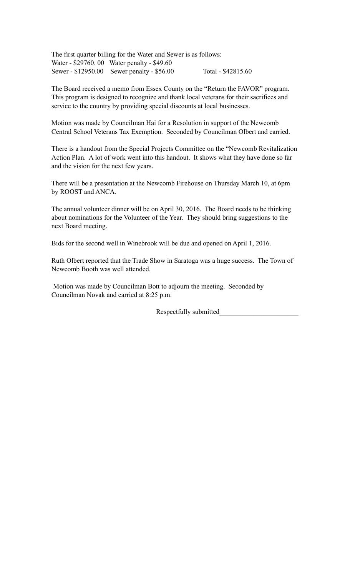The first quarter billing for the Water and Sewer is as follows: Water - \$29760. 00 Water penalty - \$49.60 Sewer - \$12950.00 Sewer penalty - \$56.00 Total - \$42815.60

The Board received a memo from Essex County on the "Return the FAVOR" program. This program is designed to recognize and thank local veterans for their sacrifices and service to the country by providing special discounts at local businesses.

Motion was made by Councilman Hai for a Resolution in support of the Newcomb Central School Veterans Tax Exemption. Seconded by Councilman Olbert and carried.

There is a handout from the Special Projects Committee on the "Newcomb Revitalization Action Plan. A lot of work went into this handout. It shows what they have done so far and the vision for the next few years.

There will be a presentation at the Newcomb Firehouse on Thursday March 10, at 6pm by ROOST and ANCA.

The annual volunteer dinner will be on April 30, 2016. The Board needs to be thinking about nominations for the Volunteer of the Year. They should bring suggestions to the next Board meeting.

Bids for the second well in Winebrook will be due and opened on April 1, 2016.

Ruth Olbert reported that the Trade Show in Saratoga was a huge success. The Town of Newcomb Booth was well attended.

 Motion was made by Councilman Bott to adjourn the meeting. Seconded by Councilman Novak and carried at 8:25 p.m.

Respectfully submitted\_\_\_\_\_\_\_\_\_\_\_\_\_\_\_\_\_\_\_\_\_\_\_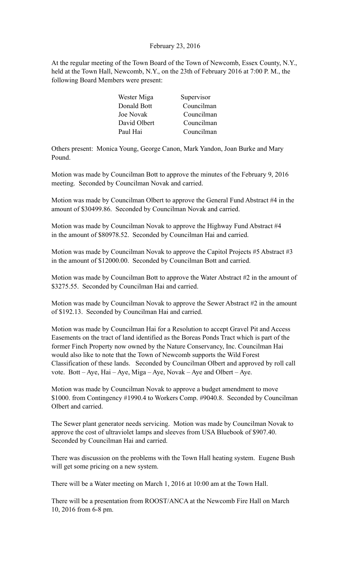# February 23, 2016

At the regular meeting of the Town Board of the Town of Newcomb, Essex County, N.Y., held at the Town Hall, Newcomb, N.Y., on the 23th of February 2016 at 7:00 P. M., the following Board Members were present:

| Wester Miga  | Supervisor |
|--------------|------------|
| Donald Bott  | Councilman |
| Joe Novak    | Councilman |
| David Olbert | Councilman |
| Paul Hai     | Councilman |

Others present: Monica Young, George Canon, Mark Yandon, Joan Burke and Mary Pound.

Motion was made by Councilman Bott to approve the minutes of the February 9, 2016 meeting. Seconded by Councilman Novak and carried.

Motion was made by Councilman Olbert to approve the General Fund Abstract #4 in the amount of \$30499.86. Seconded by Councilman Novak and carried.

Motion was made by Councilman Novak to approve the Highway Fund Abstract #4 in the amount of \$80978.52. Seconded by Councilman Hai and carried.

Motion was made by Councilman Novak to approve the Capitol Projects #5 Abstract #3 in the amount of \$12000.00. Seconded by Councilman Bott and carried.

Motion was made by Councilman Bott to approve the Water Abstract #2 in the amount of \$3275.55. Seconded by Councilman Hai and carried.

Motion was made by Councilman Novak to approve the Sewer Abstract #2 in the amount of \$192.13. Seconded by Councilman Hai and carried.

Motion was made by Councilman Hai for a Resolution to accept Gravel Pit and Access Easements on the tract of land identified as the Boreas Ponds Tract which is part of the former Finch Property now owned by the Nature Conservancy, Inc. Councilman Hai would also like to note that the Town of Newcomb supports the Wild Forest Classification of these lands. Seconded by Councilman Olbert and approved by roll call vote. Bott – Aye, Hai – Aye, Miga – Aye, Novak – Aye and Olbert – Aye.

Motion was made by Councilman Novak to approve a budget amendment to move \$1000. from Contingency #1990.4 to Workers Comp. #9040.8. Seconded by Councilman Olbert and carried.

The Sewer plant generator needs servicing. Motion was made by Councilman Novak to approve the cost of ultraviolet lamps and sleeves from USA Bluebook of \$907.40. Seconded by Councilman Hai and carried.

There was discussion on the problems with the Town Hall heating system. Eugene Bush will get some pricing on a new system.

There will be a Water meeting on March 1, 2016 at 10:00 am at the Town Hall.

There will be a presentation from ROOST/ANCA at the Newcomb Fire Hall on March 10, 2016 from 6-8 pm.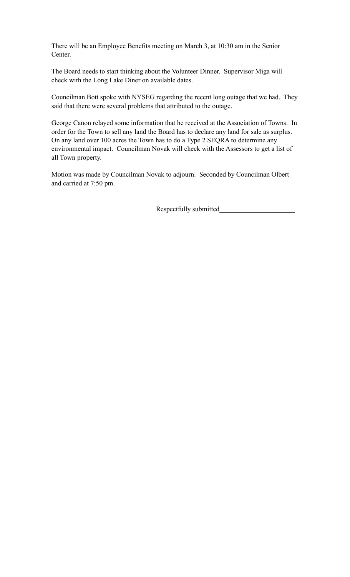There will be an Employee Benefits meeting on March 3, at 10:30 am in the Senior Center.

The Board needs to start thinking about the Volunteer Dinner. Supervisor Miga will check with the Long Lake Diner on available dates.

Councilman Bott spoke with NYSEG regarding the recent long outage that we had. They said that there were several problems that attributed to the outage.

George Canon relayed some information that he received at the Association of Towns. In order for the Town to sell any land the Board has to declare any land for sale as surplus. On any land over 100 acres the Town has to do a Type 2 SEQRA to determine any environmental impact. Councilman Novak will check with the Assessors to get a list of all Town property.

Motion was made by Councilman Novak to adjourn. Seconded by Councilman Olbert and carried at 7:50 pm.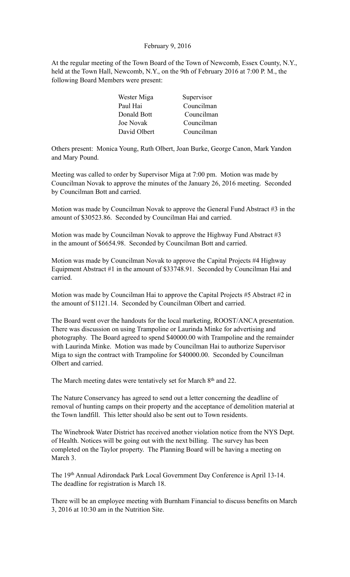# February 9, 2016

At the regular meeting of the Town Board of the Town of Newcomb, Essex County, N.Y., held at the Town Hall, Newcomb, N.Y., on the 9th of February 2016 at 7:00 P. M., the following Board Members were present:

| Wester Miga  | Supervisor |
|--------------|------------|
| Paul Hai     | Councilman |
| Donald Bott  | Councilman |
| Joe Novak    | Councilman |
| David Olbert | Councilman |

Others present: Monica Young, Ruth Olbert, Joan Burke, George Canon, Mark Yandon and Mary Pound.

Meeting was called to order by Supervisor Miga at 7:00 pm. Motion was made by Councilman Novak to approve the minutes of the January 26, 2016 meeting. Seconded by Councilman Bott and carried.

Motion was made by Councilman Novak to approve the General Fund Abstract #3 in the amount of \$30523.86. Seconded by Councilman Hai and carried.

Motion was made by Councilman Novak to approve the Highway Fund Abstract #3 in the amount of \$6654.98. Seconded by Councilman Bott and carried.

Motion was made by Councilman Novak to approve the Capital Projects #4 Highway Equipment Abstract #1 in the amount of \$33748.91. Seconded by Councilman Hai and carried.

Motion was made by Councilman Hai to approve the Capital Projects #5 Abstract #2 in the amount of \$1121.14. Seconded by Councilman Olbert and carried.

The Board went over the handouts for the local marketing, ROOST/ANCA presentation. There was discussion on using Trampoline or Laurinda Minke for advertising and photography. The Board agreed to spend \$40000.00 with Trampoline and the remainder with Laurinda Minke. Motion was made by Councilman Hai to authorize Supervisor Miga to sign the contract with Trampoline for \$40000.00. Seconded by Councilman Olbert and carried.

The March meeting dates were tentatively set for March 8<sup>th</sup> and 22.

The Nature Conservancy has agreed to send out a letter concerning the deadline of removal of hunting camps on their property and the acceptance of demolition material at the Town landfill. This letter should also be sent out to Town residents.

The Winebrook Water District has received another violation notice from the NYS Dept. of Health. Notices will be going out with the next billing. The survey has been completed on the Taylor property. The Planning Board will be having a meeting on March 3

The 19th Annual Adirondack Park Local Government Day Conference is April 13-14. The deadline for registration is March 18.

There will be an employee meeting with Burnham Financial to discuss benefits on March 3, 2016 at 10:30 am in the Nutrition Site.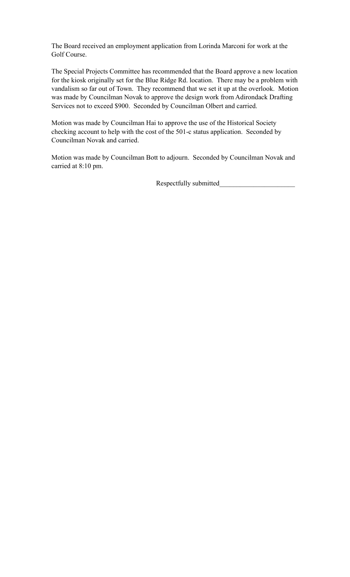The Board received an employment application from Lorinda Marconi for work at the Golf Course.

The Special Projects Committee has recommended that the Board approve a new location for the kiosk originally set for the Blue Ridge Rd. location. There may be a problem with vandalism so far out of Town. They recommend that we set it up at the overlook. Motion was made by Councilman Novak to approve the design work from Adirondack Drafting Services not to exceed \$900. Seconded by Councilman Olbert and carried.

Motion was made by Councilman Hai to approve the use of the Historical Society checking account to help with the cost of the 501-c status application. Seconded by Councilman Novak and carried.

Motion was made by Councilman Bott to adjourn. Seconded by Councilman Novak and carried at 8:10 pm.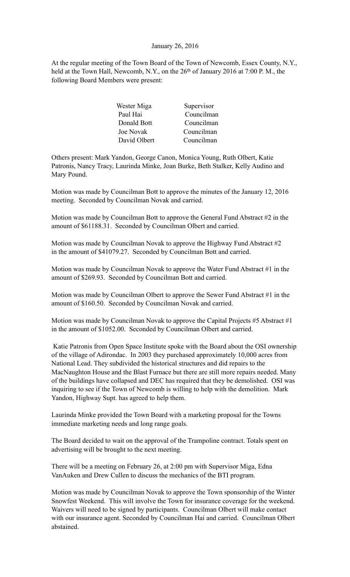### January 26, 2016

At the regular meeting of the Town Board of the Town of Newcomb, Essex County, N.Y., held at the Town Hall, Newcomb, N.Y., on the 26<sup>th</sup> of January 2016 at 7:00 P.M., the following Board Members were present:

| Wester Miga  | Supervisor |
|--------------|------------|
| Paul Hai     | Councilman |
| Donald Bott  | Councilman |
| Joe Novak    | Councilman |
| David Olbert | Councilman |

Others present: Mark Yandon, George Canon, Monica Young, Ruth Olbert, Katie Patronis, Nancy Tracy, Laurinda Minke, Joan Burke, Beth Stalker, Kelly Audino and Mary Pound.

Motion was made by Councilman Bott to approve the minutes of the January 12, 2016 meeting. Seconded by Councilman Novak and carried.

Motion was made by Councilman Bott to approve the General Fund Abstract #2 in the amount of \$61188.31. Seconded by Councilman Olbert and carried.

Motion was made by Councilman Novak to approve the Highway Fund Abstract #2 in the amount of \$41079.27. Seconded by Councilman Bott and carried.

Motion was made by Councilman Novak to approve the Water Fund Abstract #1 in the amount of \$269.93. Seconded by Councilman Bott and carried.

Motion was made by Councilman Olbert to approve the Sewer Fund Abstract #1 in the amount of \$160.50. Seconded by Councilman Novak and carried.

Motion was made by Councilman Novak to approve the Capital Projects #5 Abstract #1 in the amount of \$1052.00. Seconded by Councilman Olbert and carried.

 Katie Patronis from Open Space Institute spoke with the Board about the OSI ownership of the village of Adirondac. In 2003 they purchased approximately 10,000 acres from National Lead. They subdivided the historical structures and did repairs to the MacNaughton House and the Blast Furnace but there are still more repairs needed. Many of the buildings have collapsed and DEC has required that they be demolished. OSI was inquiring to see if the Town of Newcomb is willing to help with the demolition. Mark Yandon, Highway Supt. has agreed to help them.

Laurinda Minke provided the Town Board with a marketing proposal for the Towns immediate marketing needs and long range goals.

The Board decided to wait on the approval of the Trampoline contract. Totals spent on advertising will be brought to the next meeting.

There will be a meeting on February 26, at 2:00 pm with Supervisor Miga, Edna VanAuken and Drew Cullen to discuss the mechanics of the BTI program.

Motion was made by Councilman Novak to approve the Town sponsorship of the Winter Snowfest Weekend. This will involve the Town for insurance coverage for the weekend. Waivers will need to be signed by participants. Councilman Olbert will make contact with our insurance agent. Seconded by Councilman Hai and carried. Councilman Olbert abstained.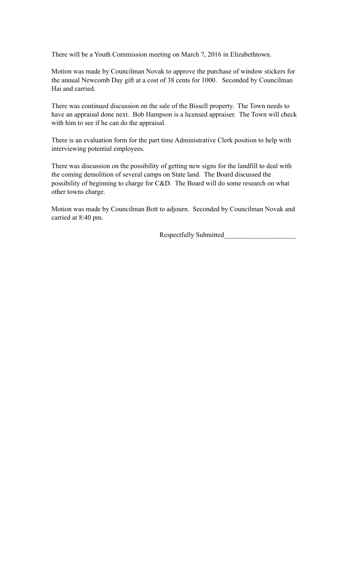There will be a Youth Commission meeting on March 7, 2016 in Elizabethtown.

Motion was made by Councilman Novak to approve the purchase of window stickers for the annual Newcomb Day gift at a cost of 38 cents for 1000. Seconded by Councilman Hai and carried.

There was continued discussion on the sale of the Bissell property. The Town needs to have an appraisal done next. Bob Hampson is a licensed appraiser. The Town will check with him to see if he can do the appraisal.

There is an evaluation form for the part time Administrative Clerk position to help with interviewing potential employees.

There was discussion on the possibility of getting new signs for the landfill to deal with the coming demolition of several camps on State land. The Board discussed the possibility of beginning to charge for C&D. The Board will do some research on what other towns charge.

Motion was made by Councilman Bott to adjourn. Seconded by Councilman Novak and carried at 8:40 pm.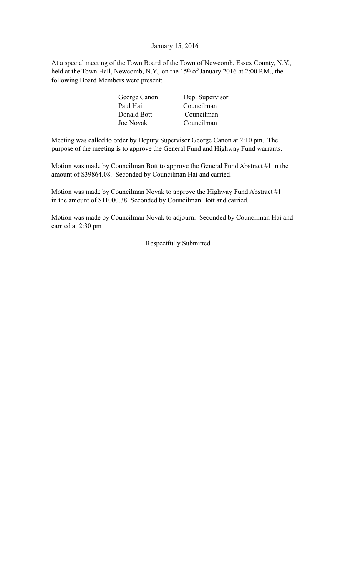January 15, 2016

At a special meeting of the Town Board of the Town of Newcomb, Essex County, N.Y., held at the Town Hall, Newcomb, N.Y., on the 15<sup>th</sup> of January 2016 at 2:00 P.M., the following Board Members were present:

| George Canon | Dep. Supervisor |
|--------------|-----------------|
| Paul Hai     | Councilman      |
| Donald Bott  | Councilman      |
| Joe Novak    | Councilman      |

Meeting was called to order by Deputy Supervisor George Canon at 2:10 pm. The purpose of the meeting is to approve the General Fund and Highway Fund warrants.

Motion was made by Councilman Bott to approve the General Fund Abstract #1 in the amount of \$39864.08. Seconded by Councilman Hai and carried.

Motion was made by Councilman Novak to approve the Highway Fund Abstract #1 in the amount of \$11000.38. Seconded by Councilman Bott and carried.

Motion was made by Councilman Novak to adjourn. Seconded by Councilman Hai and carried at 2:30 pm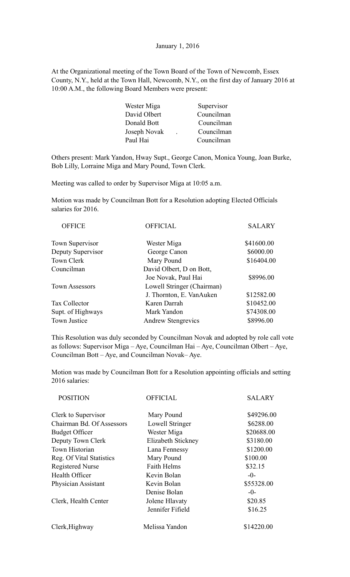At the Organizational meeting of the Town Board of the Town of Newcomb, Essex County, N.Y., held at the Town Hall, Newcomb, N.Y., on the first day of January 2016 at 10:00 A.M., the following Board Members were present:

| Wester Miga  | Supervisor |
|--------------|------------|
| David Olbert | Councilman |
| Donald Bott  | Councilman |
| Joseph Novak | Councilman |
| Paul Hai     | Councilman |
|              |            |

Others present: Mark Yandon, Hway Supt., George Canon, Monica Young, Joan Burke, Bob Lilly, Lorraine Miga and Mary Pound, Town Clerk.

Meeting was called to order by Supervisor Miga at 10:05 a.m.

Motion was made by Councilman Bott for a Resolution adopting Elected Officials salaries for 2016.

| <b>OFFICIAL</b>            | <b>SALARY</b> |
|----------------------------|---------------|
| Wester Miga                | \$41600.00    |
| George Canon               | \$6000.00     |
| Mary Pound                 | \$16404.00    |
| David Olbert, D on Bott,   |               |
| Joe Novak, Paul Hai        | \$8996.00     |
| Lowell Stringer (Chairman) |               |
| J. Thornton, E. VanAuken   | \$12582.00    |
| Karen Darrah               | \$10452.00    |
| Mark Yandon                | \$74308.00    |
| <b>Andrew Stengrevics</b>  | \$8996.00     |
|                            |               |

This Resolution was duly seconded by Councilman Novak and adopted by role call vote as follows: Supervisor Miga – Aye, Councilman Hai – Aye, Councilman Olbert – Aye, Councilman Bott – Aye, and Councilman Novak– Aye.

Motion was made by Councilman Bott for a Resolution appointing officials and setting 2016 salaries:

| <b>POSITION</b>           | <b>OFFICIAL</b>    | <b>SALARY</b> |
|---------------------------|--------------------|---------------|
| Clerk to Supervisor       | Mary Pound         | \$49296.00    |
| Chairman Bd. Of Assessors | Lowell Stringer    | \$6288.00     |
| <b>Budget Officer</b>     | Wester Miga        | \$20688.00    |
| Deputy Town Clerk         | Elizabeth Stickney | \$3180.00     |
| <b>Town Historian</b>     | Lana Fennessy      | \$1200.00     |
| Reg. Of Vital Statistics  | Mary Pound         | \$100.00      |
| <b>Registered Nurse</b>   | <b>Faith Helms</b> | \$32.15       |
| <b>Health Officer</b>     | Kevin Bolan        | $-0-$         |
| Physician Assistant       | Kevin Bolan        | \$55328.00    |
|                           | Denise Bolan       | $-0-$         |
| Clerk, Health Center      | Jolene Hlavaty     | \$20.85       |
|                           | Jennifer Fifield   | \$16.25       |
| Clerk, Highway            | Melissa Yandon     | \$14220.00    |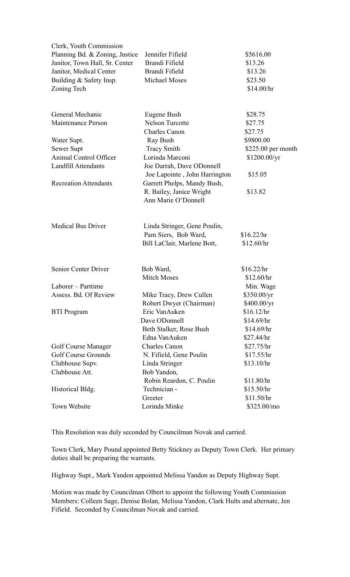| Clerk, Youth Commission        |                                                      |                     |
|--------------------------------|------------------------------------------------------|---------------------|
| Planning Bd. & Zoning, Justice | Jennifer Fifield                                     | \$5616.00           |
| Janitor, Town Hall, Sr. Center | Brandi Fifield                                       | \$13.26             |
| Janitor, Medical Center        | Brandi Fifield                                       | \$13.26             |
| Building & Safety Insp.        | Michael Moses                                        | \$23.50             |
| Zoning Tech                    |                                                      | \$14.00/hr          |
|                                |                                                      |                     |
| General Mechanic               | Eugene Bush                                          | \$28.75             |
| Maintenance Person             | <b>Nelson Turcotte</b>                               | \$27.75             |
|                                | <b>Charles Canon</b>                                 | \$27.75             |
| Water Supt.                    | Ray Bush                                             | \$9800.00           |
| Sewer Supt                     | <b>Tracy Smith</b>                                   | $$225.00$ per month |
| Animal Control Officer         | Lorinda Marconi                                      | \$1200.00/yr        |
| <b>Landfill Attendants</b>     | Joe Darrah, Dave ODonnell                            |                     |
|                                | Joe Lapointe, John Harrington                        | \$15.05             |
| <b>Recreation Attendants</b>   | Garrett Phelps, Mandy Bush,                          |                     |
|                                | R. Bailey, Janice Wright                             | \$13.82             |
|                                | Ann Marie O'Donnell                                  |                     |
| <b>Medical Bus Driver</b>      | Linda Stringer, Gene Poulin,<br>Pam Siers, Bob Ward, | \$16.22/hr          |
|                                | Bill LaClair, Marlene Bott,                          | \$12.60/hr          |
|                                |                                                      |                     |
| Senior Center Driver           | Bob Ward,                                            | \$16.22/hr          |
|                                | <b>Mitch Moses</b>                                   | \$12.60/hr          |
| Laborer – Parttime             |                                                      | Min. Wage           |
| Assess. Bd. Of Review          | Mike Tracy, Drew Cullen                              | \$350.00/yr         |
|                                | Robert Dwyer (Chairman)                              | \$400.00/yr         |
| <b>BTI</b> Program             | Eric VanAuken                                        | \$16.12/hr          |
|                                | Dave ODonnell                                        | \$14.69/hr          |
|                                | Beth Stalker, Rose Bush                              | \$14.69/hr          |
|                                | Edna VanAuken                                        | \$27.44/hr          |
| Golf Course Manager            | <b>Charles Canon</b>                                 | \$27.75/hr          |
| <b>Golf Course Grounds</b>     | N. Fifield, Gene Poulin                              | \$17.55/hr          |
| Clubhouse Supv.                | Linda Stringer                                       | \$13.10/hr          |
| Clubhouse Att.                 | Bob Yandon,                                          |                     |
|                                | Robin Reardon, C. Poulin                             | \$11.80/hr          |
| Historical Bldg.               | Technician -                                         | \$15.50/hr          |
|                                | Greeter                                              | \$11.50/hr          |
| Town Website                   | Lorinda Minke                                        | \$325.00/mo         |

This Resolution was duly seconded by Councilman Novak and carried.

Town Clerk, Mary Pound appointed Betty Stickney as Deputy Town Clerk. Her primary duties shall be preparing the warrants.

Highway Supt., Mark Yandon appointed Melissa Yandon as Deputy Highway Supt.

Motion was made by Councilman Olbert to appoint the following Youth Commission Members: Colleen Sage, Denise Bolan, Melissa Yandon, Clark Hults and alternate, Jen Fifield. Seconded by Councilman Novak and carried.